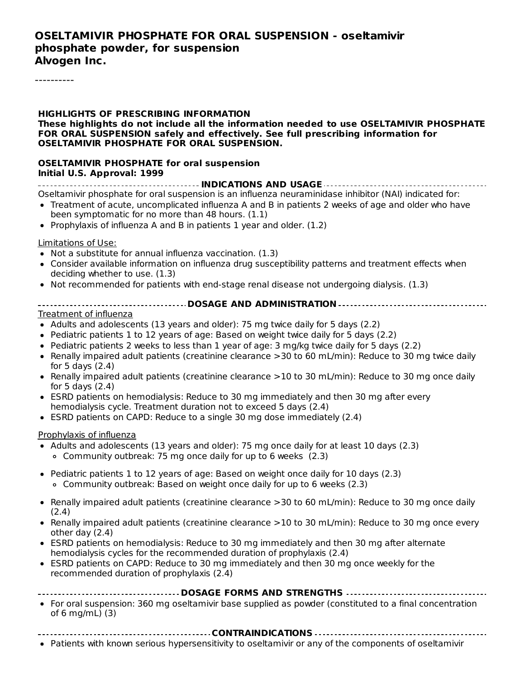#### **OSELTAMIVIR PHOSPHATE FOR ORAL SUSPENSION - oseltamivir phosphate powder, for suspension Alvogen Inc.**

----------

**HIGHLIGHTS OF PRESCRIBING INFORMATION These highlights do not include all the information needed to use OSELTAMIVIR PHOSPHATE FOR ORAL SUSPENSION safely and effectively. See full prescribing information for OSELTAMIVIR PHOSPHATE FOR ORAL SUSPENSION. OSELTAMIVIR PHOSPHATE for oral suspension Initial U.S. Approval: 1999 INDICATIONS AND USAGE** Oseltamivir phosphate for oral suspension is an influenza neuraminidase inhibitor (NAI) indicated for: Treatment of acute, uncomplicated influenza A and B in patients 2 weeks of age and older who have been symptomatic for no more than 48 hours. (1.1) • Prophylaxis of influenza A and B in patients 1 year and older.  $(1.2)$ Limitations of Use: Not a substitute for annual influenza vaccination. (1.3) Consider available information on influenza drug susceptibility patterns and treatment effects when deciding whether to use. (1.3) • Not recommended for patients with end-stage renal disease not undergoing dialysis. (1.3) **DOSAGE AND ADMINISTRATION** Treatment of influenza • Adults and adolescents (13 years and older): 75 mg twice daily for 5 days (2.2) • Pediatric patients 1 to 12 years of age: Based on weight twice daily for 5 days (2.2) • Pediatric patients 2 weeks to less than 1 year of age: 3 mg/kg twice daily for 5 days (2.2) • Renally impaired adult patients (creatinine clearance >30 to 60 mL/min): Reduce to 30 mg twice daily for 5 days (2.4) • Renally impaired adult patients (creatinine clearance >10 to 30 mL/min): Reduce to 30 mg once daily for 5 days (2.4) ESRD patients on hemodialysis: Reduce to 30 mg immediately and then 30 mg after every hemodialysis cycle. Treatment duration not to exceed 5 days (2.4) ESRD patients on CAPD: Reduce to a single 30 mg dose immediately (2.4) Prophylaxis of influenza • Adults and adolescents (13 years and older): 75 mg once daily for at least 10 days (2.3) Community outbreak: 75 mg once daily for up to 6 weeks (2.3) • Pediatric patients 1 to 12 years of age: Based on weight once daily for 10 days (2.3) Community outbreak: Based on weight once daily for up to 6 weeks (2.3) • Renally impaired adult patients (creatinine clearance >30 to 60 mL/min): Reduce to 30 mg once daily (2.4) Renally impaired adult patients (creatinine clearance >10 to 30 mL/min): Reduce to 30 mg once every other day (2.4) ESRD patients on hemodialysis: Reduce to 30 mg immediately and then 30 mg after alternate hemodialysis cycles for the recommended duration of prophylaxis (2.4)

ESRD patients on CAPD: Reduce to 30 mg immediately and then 30 mg once weekly for the  $\bullet$ recommended duration of prophylaxis (2.4)

#### **DOSAGE FORMS AND STRENGTHS**

- For oral suspension: 360 mg oseltamivir base supplied as powder (constituted to a final concentration of 6 mg/mL) (3)
- **CONTRAINDICATIONS**
- Patients with known serious hypersensitivity to oseltamivir or any of the components of oseltamivir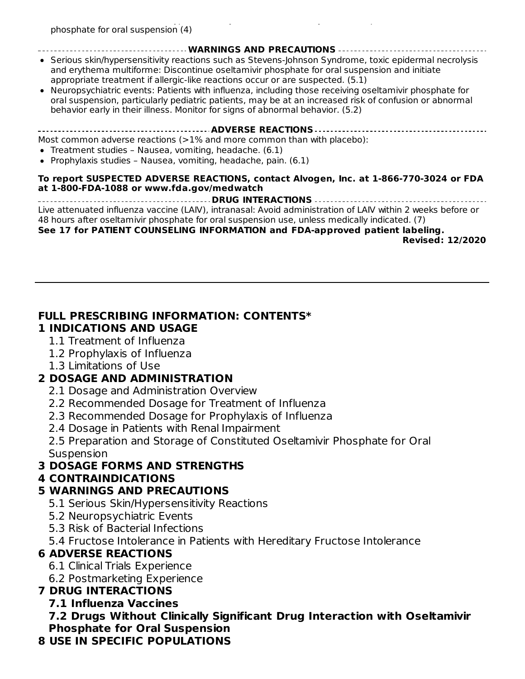#### **WARNINGS AND PRECAUTIONS**

- Serious skin/hypersensitivity reactions such as Stevens-Johnson Syndrome, toxic epidermal necrolysis and erythema multiforme: Discontinue oseltamivir phosphate for oral suspension and initiate appropriate treatment if allergic-like reactions occur or are suspected. (5.1)
- Neuropsychiatric events: Patients with influenza, including those receiving oseltamivir phosphate for oral suspension, particularly pediatric patients, may be at an increased risk of confusion or abnormal behavior early in their illness. Monitor for signs of abnormal behavior. (5.2)

**ADVERSE REACTIONS**

Most common adverse reactions  $(>=1\%$  and more common than with placebo):

- Treatment studies Nausea, vomiting, headache. (6.1)
- Prophylaxis studies Nausea, vomiting, headache, pain.  $(6.1)$

#### **To report SUSPECTED ADVERSE REACTIONS, contact Alvogen, Inc. at 1-866-770-3024 or FDA at 1-800-FDA-1088 or www.fda.gov/medwatch**

**DRUG INTERACTIONS** Live attenuated influenza vaccine (LAIV), intranasal: Avoid administration of LAIV within 2 weeks before or 48 hours after oseltamivir phosphate for oral suspension use, unless medically indicated. (7)

#### **See 17 for PATIENT COUNSELING INFORMATION and FDA-approved patient labeling.**

**Revised: 12/2020**

#### **FULL PRESCRIBING INFORMATION: CONTENTS\* 1 INDICATIONS AND USAGE**

- 1.1 Treatment of Influenza
- 1.2 Prophylaxis of Influenza
- 1.3 Limitations of Use

### **2 DOSAGE AND ADMINISTRATION**

- 2.1 Dosage and Administration Overview
- 2.2 Recommended Dosage for Treatment of Influenza
- 2.3 Recommended Dosage for Prophylaxis of Influenza
- 2.4 Dosage in Patients with Renal Impairment

2.5 Preparation and Storage of Constituted Oseltamivir Phosphate for Oral Suspension

### **3 DOSAGE FORMS AND STRENGTHS**

### **4 CONTRAINDICATIONS**

### **5 WARNINGS AND PRECAUTIONS**

- 5.1 Serious Skin/Hypersensitivity Reactions
- 5.2 Neuropsychiatric Events
- 5.3 Risk of Bacterial Infections
- 5.4 Fructose Intolerance in Patients with Hereditary Fructose Intolerance

### **6 ADVERSE REACTIONS**

- 6.1 Clinical Trials Experience
- 6.2 Postmarketing Experience

# **7 DRUG INTERACTIONS**

### **7.1 Influenza Vaccines**

**7.2 Drugs Without Clinically Significant Drug Interaction with Oseltamivir Phosphate for Oral Suspension**

### **8 USE IN SPECIFIC POPULATIONS**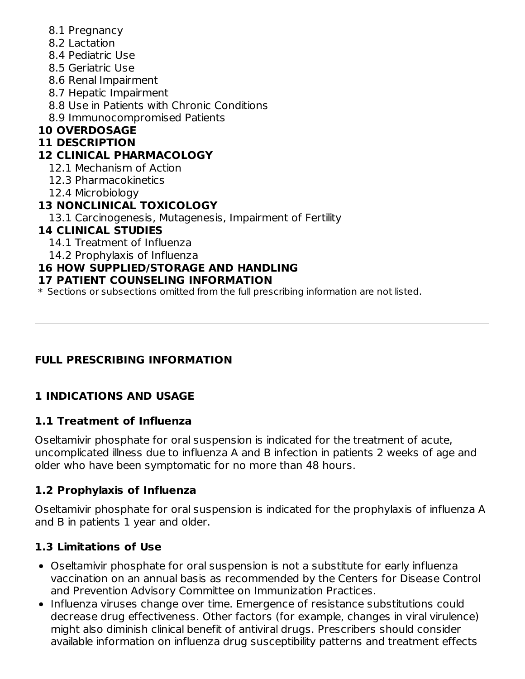- 8.1 Pregnancy
- 8.2 Lactation
- 8.4 Pediatric Use
- 8.5 Geriatric Use
- 8.6 Renal Impairment
- 8.7 Hepatic Impairment
- 8.8 Use in Patients with Chronic Conditions
- 8.9 Immunocompromised Patients

# **10 OVERDOSAGE**

# **11 DESCRIPTION**

# **12 CLINICAL PHARMACOLOGY**

- 12.1 Mechanism of Action
- 12.3 Pharmacokinetics
- 12.4 Microbiology

# **13 NONCLINICAL TOXICOLOGY**

13.1 Carcinogenesis, Mutagenesis, Impairment of Fertility

# **14 CLINICAL STUDIES**

- 14.1 Treatment of Influenza
- 14.2 Prophylaxis of Influenza

# **16 HOW SUPPLIED/STORAGE AND HANDLING**

# **17 PATIENT COUNSELING INFORMATION**

\* Sections or subsections omitted from the full prescribing information are not listed.

# **FULL PRESCRIBING INFORMATION**

# **1 INDICATIONS AND USAGE**

# **1.1 Treatment of Influenza**

Oseltamivir phosphate for oral suspension is indicated for the treatment of acute, uncomplicated illness due to influenza A and B infection in patients 2 weeks of age and older who have been symptomatic for no more than 48 hours.

# **1.2 Prophylaxis of Influenza**

Oseltamivir phosphate for oral suspension is indicated for the prophylaxis of influenza A and B in patients 1 year and older.

# **1.3 Limitations of Use**

- Oseltamivir phosphate for oral suspension is not a substitute for early influenza vaccination on an annual basis as recommended by the Centers for Disease Control and Prevention Advisory Committee on Immunization Practices.
- Influenza viruses change over time. Emergence of resistance substitutions could decrease drug effectiveness. Other factors (for example, changes in viral virulence) might also diminish clinical benefit of antiviral drugs. Prescribers should consider available information on influenza drug susceptibility patterns and treatment effects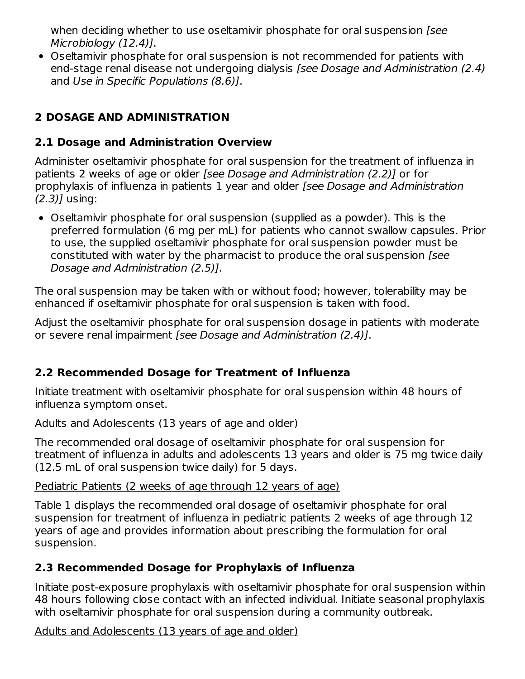when deciding whether to use oseltamivir phosphate for oral suspension *[see*] Microbiology (12.4)].

Oseltamivir phosphate for oral suspension is not recommended for patients with end-stage renal disease not undergoing dialysis [see Dosage and Administration (2.4) and Use in Specific Populations (8.6)].

# **2 DOSAGE AND ADMINISTRATION**

# **2.1 Dosage and Administration Overview**

Administer oseltamivir phosphate for oral suspension for the treatment of influenza in patients 2 weeks of age or older [see Dosage and Administration (2.2)] or for prophylaxis of influenza in patients 1 year and older [see Dosage and Administration  $(2.3)$ ] using:

Oseltamivir phosphate for oral suspension (supplied as a powder). This is the preferred formulation (6 mg per mL) for patients who cannot swallow capsules. Prior to use, the supplied oseltamivir phosphate for oral suspension powder must be constituted with water by the pharmacist to produce the oral suspension [see Dosage and Administration (2.5)].

The oral suspension may be taken with or without food; however, tolerability may be enhanced if oseltamivir phosphate for oral suspension is taken with food.

Adjust the oseltamivir phosphate for oral suspension dosage in patients with moderate or severe renal impairment [see Dosage and Administration (2.4)].

# **2.2 Recommended Dosage for Treatment of Influenza**

Initiate treatment with oseltamivir phosphate for oral suspension within 48 hours of influenza symptom onset.

### Adults and Adolescents (13 years of age and older)

The recommended oral dosage of oseltamivir phosphate for oral suspension for treatment of influenza in adults and adolescents 13 years and older is 75 mg twice daily (12.5 mL of oral suspension twice daily) for 5 days.

### Pediatric Patients (2 weeks of age through 12 years of age)

Table 1 displays the recommended oral dosage of oseltamivir phosphate for oral suspension for treatment of influenza in pediatric patients 2 weeks of age through 12 years of age and provides information about prescribing the formulation for oral suspension.

# **2.3 Recommended Dosage for Prophylaxis of Influenza**

Initiate post-exposure prophylaxis with oseltamivir phosphate for oral suspension within 48 hours following close contact with an infected individual. Initiate seasonal prophylaxis with oseltamivir phosphate for oral suspension during a community outbreak.

Adults and Adolescents (13 years of age and older)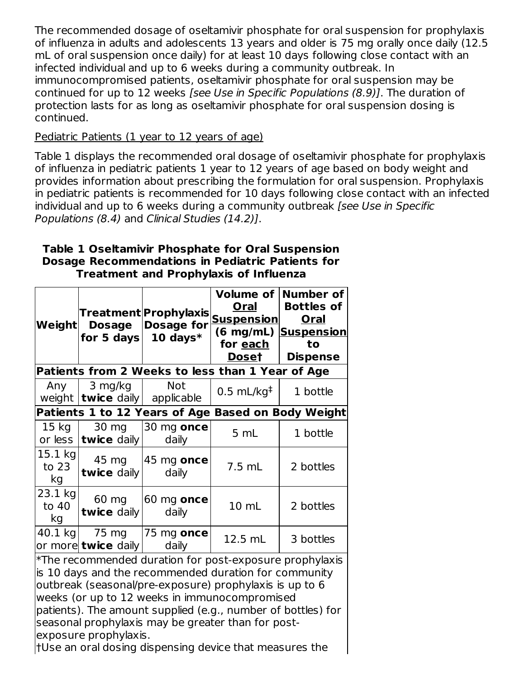The recommended dosage of oseltamivir phosphate for oral suspension for prophylaxis of influenza in adults and adolescents 13 years and older is 75 mg orally once daily (12.5 mL of oral suspension once daily) for at least 10 days following close contact with an infected individual and up to 6 weeks during a community outbreak. In immunocompromised patients, oseltamivir phosphate for oral suspension may be continued for up to 12 weeks [see Use in Specific Populations (8.9)]. The duration of protection lasts for as long as oseltamivir phosphate for oral suspension dosing is continued.

### Pediatric Patients (1 year to 12 years of age)

Table 1 displays the recommended oral dosage of oseltamivir phosphate for prophylaxis of influenza in pediatric patients 1 year to 12 years of age based on body weight and provides information about prescribing the formulation for oral suspension. Prophylaxis in pediatric patients is recommended for 10 days following close contact with an infected individual and up to 6 weeks during a community outbreak [see Use in Specific Populations (8.4) and Clinical Studies (14.2)].

#### **Table 1 Oseltamivir Phosphate for Oral Suspension Dosage Recommendations in Pediatric Patients for Treatment and Prophylaxis of Influenza**

| Weight                                                                                                                                                                                                                                                                                       | Treatment Prophylaxis <br><b>Dosage for</b><br><b>Dosage</b><br>10 days $*$<br>for 5 days<br>Patients from 2 Weeks to less than 1 Year of Age |                                | <b>Volume of</b><br><b>Oral</b><br><u>Suspension</u><br>for each<br><b>Doset</b> | <b>Number of</b><br><b>Bottles of</b><br><b>Oral</b><br>(6 mg/mL) Suspension<br>to<br><b>Dispense</b> |  |  |
|----------------------------------------------------------------------------------------------------------------------------------------------------------------------------------------------------------------------------------------------------------------------------------------------|-----------------------------------------------------------------------------------------------------------------------------------------------|--------------------------------|----------------------------------------------------------------------------------|-------------------------------------------------------------------------------------------------------|--|--|
| Any                                                                                                                                                                                                                                                                                          | 3 mg/kg                                                                                                                                       | <b>Not</b>                     |                                                                                  |                                                                                                       |  |  |
|                                                                                                                                                                                                                                                                                              | weight $ \text{twice}$ daily                                                                                                                  | applicable                     | $0.5$ mL/kg <sup>‡</sup>                                                         | 1 bottle                                                                                              |  |  |
|                                                                                                                                                                                                                                                                                              |                                                                                                                                               |                                |                                                                                  | Patients 1 to 12 Years of Age Based on Body Weight                                                    |  |  |
| 15 <sub>kg</sub><br>or less                                                                                                                                                                                                                                                                  | 30 mg<br>twice daily                                                                                                                          | 30 mg once<br>daily            | 5 mL                                                                             | 1 bottle                                                                                              |  |  |
| 15.1 kg<br>to 23<br>kg                                                                                                                                                                                                                                                                       | 45 mg<br>twice daily                                                                                                                          | $ 45 \text{ mg}$ once<br>daily | 7.5 mL                                                                           | 2 bottles                                                                                             |  |  |
| 23.1 kg<br>to 40<br>kg                                                                                                                                                                                                                                                                       | 60 mg<br>60 mg once<br>twice daily<br>daily                                                                                                   |                                | 10 mL                                                                            | 2 bottles                                                                                             |  |  |
| 40.1 kg                                                                                                                                                                                                                                                                                      | 75 mg<br>or more <b>twice</b> daily                                                                                                           | 75 mg once<br>daily            | 12.5 mL                                                                          | 3 bottles                                                                                             |  |  |
| *The recommended duration for post-exposure prophylaxis<br>is 10 days and the recommended duration for community<br>outbreak (seasonal/pre-exposure) prophylaxis is up to 6<br>weeks (or up to 12 weeks in immunocompromised<br>patients). The amount supplied (e.g., number of bottles) for |                                                                                                                                               |                                |                                                                                  |                                                                                                       |  |  |

seasonal prophylaxis may be greater than for postexposure prophylaxis.

†Use an oral dosing dispensing device that measures the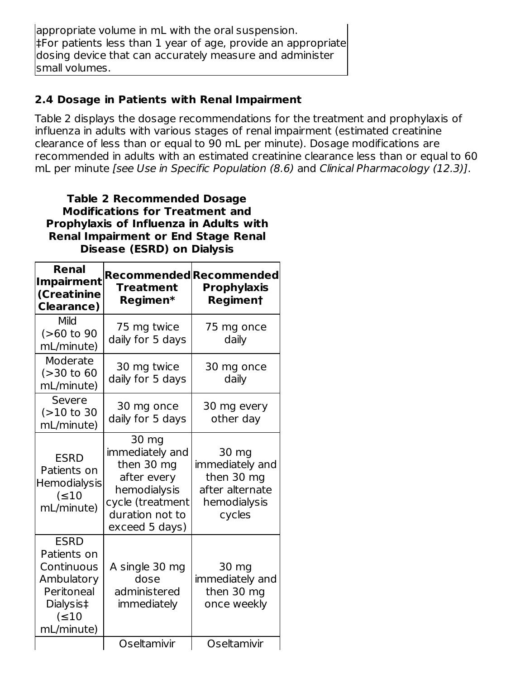appropriate volume in mL with the oral suspension. ‡For patients less than 1 year of age, provide an appropriate dosing device that can accurately measure and administer small volumes.

# **2.4 Dosage in Patients with Renal Impairment**

Table 2 displays the dosage recommendations for the treatment and prophylaxis of influenza in adults with various stages of renal impairment (estimated creatinine clearance of less than or equal to 90 mL per minute). Dosage modifications are recommended in adults with an estimated creatinine clearance less than or equal to 60 mL per minute [see Use in Specific Population (8.6) and Clinical Pharmacology (12.3)].

#### **Table 2 Recommended Dosage Modifications for Treatment and Prophylaxis of Influenza in Adults with Renal Impairment or End Stage Renal Disease (ESRD) on Dialysis**

| Renal<br><b>Impairment</b><br>(Creatinine<br><b>Clearance)</b>                                                 | <b>Treatment</b><br>Regimen*                                                                                                   | Recommended Recommended<br><b>Prophylaxis</b><br><b>Regiment</b>                    |
|----------------------------------------------------------------------------------------------------------------|--------------------------------------------------------------------------------------------------------------------------------|-------------------------------------------------------------------------------------|
| Mild<br>$(>60$ to 90<br>mL/minute)                                                                             | 75 mg twice<br>daily for 5 days                                                                                                | 75 mg once<br>daily                                                                 |
| Moderate<br>(>30 to 60<br>mL/minute)                                                                           | 30 mg twice<br>daily for 5 days                                                                                                | 30 mg once<br>daily                                                                 |
| Severe<br>$(>10$ to 30<br>mL/minute)                                                                           | 30 mg once<br>daily for 5 days                                                                                                 | 30 mg every<br>other day                                                            |
| <b>ESRD</b><br>Patients on<br>Hemodialysis<br>$( \leq 10$<br>mL/minute)                                        | 30 mg<br>immediately and<br>then 30 mg<br>after every<br>hemodialysis<br>cycle (treatment<br>duration not to<br>exceed 5 days) | 30 mg<br>immediately and<br>then 30 mg<br>after alternate<br>hemodialysis<br>cycles |
| <b>ESRD</b><br>Patients on<br>Continuous<br>Ambulatory<br>Peritoneal<br>Dialysis‡<br>$( \leq 10$<br>mL/minute) | A single 30 mg<br>dose<br>administered<br>immediately                                                                          | 30 mg<br>immediately and<br>then 30 mg<br>once weekly                               |
|                                                                                                                | Oseltamivir                                                                                                                    | Oseltamivir                                                                         |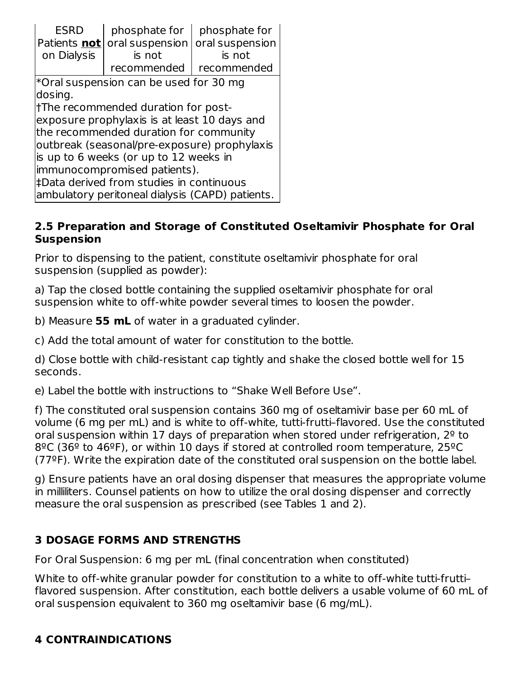| <b>ESRD</b><br>Patients not<br>on Dialysis                                                                                                                                                                                                                                                                                                                 | phosphate for<br>oral suspension<br>is not<br>recommended | phosphate for<br>oral suspension<br>is not<br>recommended |  |  |  |  |
|------------------------------------------------------------------------------------------------------------------------------------------------------------------------------------------------------------------------------------------------------------------------------------------------------------------------------------------------------------|-----------------------------------------------------------|-----------------------------------------------------------|--|--|--|--|
| Foral suspension can be used for 30 mg<br>dosing.<br>t The recommended duration for post-<br>exposure prophylaxis is at least 10 days and<br>the recommended duration for community<br>outbreak (seasonal/pre-exposure) prophylaxis<br>is up to 6 weeks (or up to 12 weeks in<br>limmunocompromised patients).<br>‡Data derived from studies in continuous |                                                           |                                                           |  |  |  |  |

#### **2.5 Preparation and Storage of Constituted Oseltamivir Phosphate for Oral Suspension**

Prior to dispensing to the patient, constitute oseltamivir phosphate for oral suspension (supplied as powder):

a) Tap the closed bottle containing the supplied oseltamivir phosphate for oral suspension white to off-white powder several times to loosen the powder.

b) Measure **55 mL** of water in a graduated cylinder.

c) Add the total amount of water for constitution to the bottle.

d) Close bottle with child-resistant cap tightly and shake the closed bottle well for 15 seconds.

e) Label the bottle with instructions to "Shake Well Before Use".

f) The constituted oral suspension contains 360 mg of oseltamivir base per 60 mL of volume (6 mg per mL) and is white to off-white, tutti-frutti–flavored. Use the constituted oral suspension within 17 days of preparation when stored under refrigeration,  $2^{\circ}$  to  $8^{\circ}$ C (36<sup> $\circ$ </sup> to 46<sup> $\circ$ </sup>F), or within 10 days if stored at controlled room temperature, 25 $\circ$ C (77ºF). Write the expiration date of the constituted oral suspension on the bottle label.

g) Ensure patients have an oral dosing dispenser that measures the appropriate volume in milliliters. Counsel patients on how to utilize the oral dosing dispenser and correctly measure the oral suspension as prescribed (see Tables 1 and 2).

# **3 DOSAGE FORMS AND STRENGTHS**

For Oral Suspension: 6 mg per mL (final concentration when constituted)

White to off-white granular powder for constitution to a white to off-white tutti-frutti– flavored suspension. After constitution, each bottle delivers a usable volume of 60 mL of oral suspension equivalent to 360 mg oseltamivir base (6 mg/mL).

# **4 CONTRAINDICATIONS**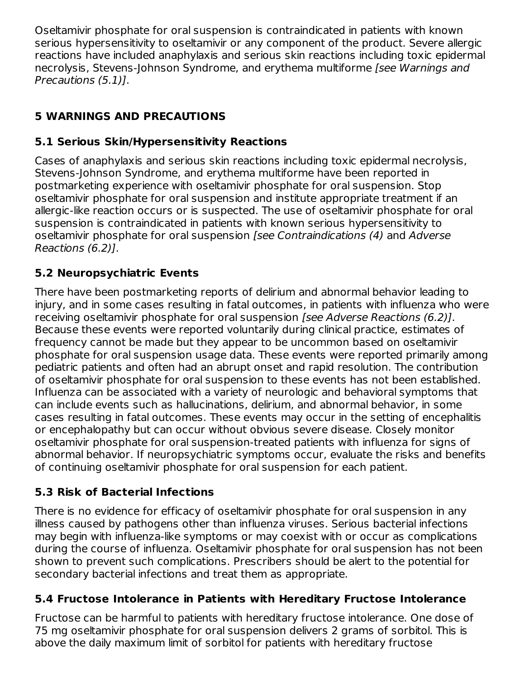Oseltamivir phosphate for oral suspension is contraindicated in patients with known serious hypersensitivity to oseltamivir or any component of the product. Severe allergic reactions have included anaphylaxis and serious skin reactions including toxic epidermal necrolysis, Stevens-Johnson Syndrome, and erythema multiforme [see Warnings and Precautions (5.1)].

# **5 WARNINGS AND PRECAUTIONS**

# **5.1 Serious Skin/Hypersensitivity Reactions**

Cases of anaphylaxis and serious skin reactions including toxic epidermal necrolysis, Stevens-Johnson Syndrome, and erythema multiforme have been reported in postmarketing experience with oseltamivir phosphate for oral suspension. Stop oseltamivir phosphate for oral suspension and institute appropriate treatment if an allergic-like reaction occurs or is suspected. The use of oseltamivir phosphate for oral suspension is contraindicated in patients with known serious hypersensitivity to oseltamivir phosphate for oral suspension [see Contraindications (4) and Adverse Reactions (6.2)].

# **5.2 Neuropsychiatric Events**

There have been postmarketing reports of delirium and abnormal behavior leading to injury, and in some cases resulting in fatal outcomes, in patients with influenza who were receiving oseltamivir phosphate for oral suspension [see Adverse Reactions (6.2)]. Because these events were reported voluntarily during clinical practice, estimates of frequency cannot be made but they appear to be uncommon based on oseltamivir phosphate for oral suspension usage data. These events were reported primarily among pediatric patients and often had an abrupt onset and rapid resolution. The contribution of oseltamivir phosphate for oral suspension to these events has not been established. Influenza can be associated with a variety of neurologic and behavioral symptoms that can include events such as hallucinations, delirium, and abnormal behavior, in some cases resulting in fatal outcomes. These events may occur in the setting of encephalitis or encephalopathy but can occur without obvious severe disease. Closely monitor oseltamivir phosphate for oral suspension-treated patients with influenza for signs of abnormal behavior. If neuropsychiatric symptoms occur, evaluate the risks and benefits of continuing oseltamivir phosphate for oral suspension for each patient.

# **5.3 Risk of Bacterial Infections**

There is no evidence for efficacy of oseltamivir phosphate for oral suspension in any illness caused by pathogens other than influenza viruses. Serious bacterial infections may begin with influenza-like symptoms or may coexist with or occur as complications during the course of influenza. Oseltamivir phosphate for oral suspension has not been shown to prevent such complications. Prescribers should be alert to the potential for secondary bacterial infections and treat them as appropriate.

# **5.4 Fructose Intolerance in Patients with Hereditary Fructose Intolerance**

Fructose can be harmful to patients with hereditary fructose intolerance. One dose of 75 mg oseltamivir phosphate for oral suspension delivers 2 grams of sorbitol. This is above the daily maximum limit of sorbitol for patients with hereditary fructose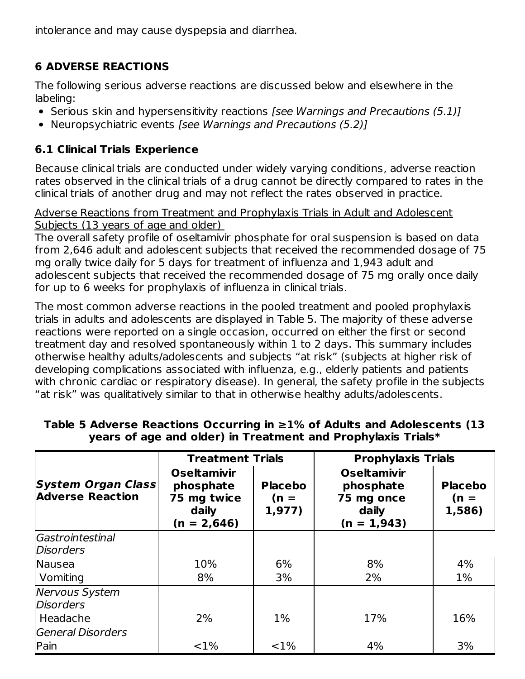intolerance and may cause dyspepsia and diarrhea.

# **6 ADVERSE REACTIONS**

The following serious adverse reactions are discussed below and elsewhere in the labeling:

- Serious skin and hypersensitivity reactions [see Warnings and Precautions (5.1)]
- Neuropsychiatric events [see Warnings and Precautions (5.2)]

# **6.1 Clinical Trials Experience**

Because clinical trials are conducted under widely varying conditions, adverse reaction rates observed in the clinical trials of a drug cannot be directly compared to rates in the clinical trials of another drug and may not reflect the rates observed in practice.

Adverse Reactions from Treatment and Prophylaxis Trials in Adult and Adolescent Subjects (13 years of age and older)

The overall safety profile of oseltamivir phosphate for oral suspension is based on data from 2,646 adult and adolescent subjects that received the recommended dosage of 75 mg orally twice daily for 5 days for treatment of influenza and 1,943 adult and adolescent subjects that received the recommended dosage of 75 mg orally once daily for up to 6 weeks for prophylaxis of influenza in clinical trials.

The most common adverse reactions in the pooled treatment and pooled prophylaxis trials in adults and adolescents are displayed in Table 5. The majority of these adverse reactions were reported on a single occasion, occurred on either the first or second treatment day and resolved spontaneously within 1 to 2 days. This summary includes otherwise healthy adults/adolescents and subjects "at risk" (subjects at higher risk of developing complications associated with influenza, e.g., elderly patients and patients with chronic cardiac or respiratory disease). In general, the safety profile in the subjects "at risk" was qualitatively similar to that in otherwise healthy adults/adolescents.

|                                                      | <b>Treatment Trials</b>                                                  |                                    | <b>Prophylaxis Trials</b>                                               |                                    |
|------------------------------------------------------|--------------------------------------------------------------------------|------------------------------------|-------------------------------------------------------------------------|------------------------------------|
| <b>System Organ Class</b><br><b>Adverse Reaction</b> | <b>Oseltamivir</b><br>phosphate<br>75 mg twice<br>daily<br>$(n = 2,646)$ | <b>Placebo</b><br>$(n =$<br>1,977) | <b>Oseltamivir</b><br>phosphate<br>75 mg once<br>daily<br>$(n = 1,943)$ | <b>Placebo</b><br>$(n =$<br>1,586) |
| Gastrointestinal                                     |                                                                          |                                    |                                                                         |                                    |
| <b>Disorders</b>                                     |                                                                          |                                    |                                                                         |                                    |
| Nausea                                               | 10%                                                                      | 6%                                 | 8%                                                                      | 4%                                 |
| Vomiting                                             | 8%                                                                       | 3%                                 | 2%                                                                      | $1\%$                              |
| <b>Nervous System</b>                                |                                                                          |                                    |                                                                         |                                    |
| <b>Disorders</b>                                     |                                                                          |                                    |                                                                         |                                    |
| Headache                                             | 2%                                                                       | $1\%$                              | 17%                                                                     | 16%                                |
| General Disorders                                    |                                                                          |                                    |                                                                         |                                    |
| Pain                                                 | $< 1\%$                                                                  | <1%                                | 4%                                                                      | 3%                                 |

### **Table 5 Adverse Reactions Occurring in ≥1% of Adults and Adolescents (13 years of age and older) in Treatment and Prophylaxis Trials\***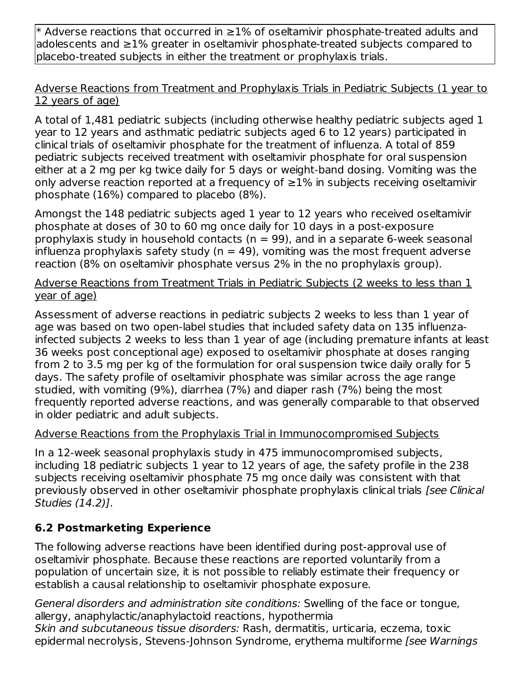\* Adverse reactions that occurred in ≥1% of oseltamivir phosphate-treated adults and adolescents and ≥1% greater in oseltamivir phosphate-treated subjects compared to placebo-treated subjects in either the treatment or prophylaxis trials.

### Adverse Reactions from Treatment and Prophylaxis Trials in Pediatric Subjects (1 year to 12 years of age)

A total of 1,481 pediatric subjects (including otherwise healthy pediatric subjects aged 1 year to 12 years and asthmatic pediatric subjects aged 6 to 12 years) participated in clinical trials of oseltamivir phosphate for the treatment of influenza. A total of 859 pediatric subjects received treatment with oseltamivir phosphate for oral suspension either at a 2 mg per kg twice daily for 5 days or weight-band dosing. Vomiting was the only adverse reaction reported at a frequency of  $\geq$ 1% in subjects receiving oseltamivir phosphate (16%) compared to placebo (8%).

Amongst the 148 pediatric subjects aged 1 year to 12 years who received oseltamivir phosphate at doses of 30 to 60 mg once daily for 10 days in a post-exposure prophylaxis study in household contacts ( $n = 99$ ), and in a separate 6-week seasonal influenza prophylaxis safety study ( $n = 49$ ), vomiting was the most frequent adverse reaction (8% on oseltamivir phosphate versus 2% in the no prophylaxis group).

Adverse Reactions from Treatment Trials in Pediatric Subjects (2 weeks to less than 1 year of age)

Assessment of adverse reactions in pediatric subjects 2 weeks to less than 1 year of age was based on two open-label studies that included safety data on 135 influenzainfected subjects 2 weeks to less than 1 year of age (including premature infants at least 36 weeks post conceptional age) exposed to oseltamivir phosphate at doses ranging from 2 to 3.5 mg per kg of the formulation for oral suspension twice daily orally for 5 days. The safety profile of oseltamivir phosphate was similar across the age range studied, with vomiting (9%), diarrhea (7%) and diaper rash (7%) being the most frequently reported adverse reactions, and was generally comparable to that observed in older pediatric and adult subjects.

### Adverse Reactions from the Prophylaxis Trial in Immunocompromised Subjects

In a 12-week seasonal prophylaxis study in 475 immunocompromised subjects, including 18 pediatric subjects 1 year to 12 years of age, the safety profile in the 238 subjects receiving oseltamivir phosphate 75 mg once daily was consistent with that previously observed in other oseltamivir phosphate prophylaxis clinical trials [see Clinical Studies (14.2)].

# **6.2 Postmarketing Experience**

The following adverse reactions have been identified during post-approval use of oseltamivir phosphate. Because these reactions are reported voluntarily from a population of uncertain size, it is not possible to reliably estimate their frequency or establish a causal relationship to oseltamivir phosphate exposure.

General disorders and administration site conditions: Swelling of the face or tongue, allergy, anaphylactic/anaphylactoid reactions, hypothermia Skin and subcutaneous tissue disorders: Rash, dermatitis, urticaria, eczema, toxic epidermal necrolysis, Stevens-Johnson Syndrome, erythema multiforme [see Warnings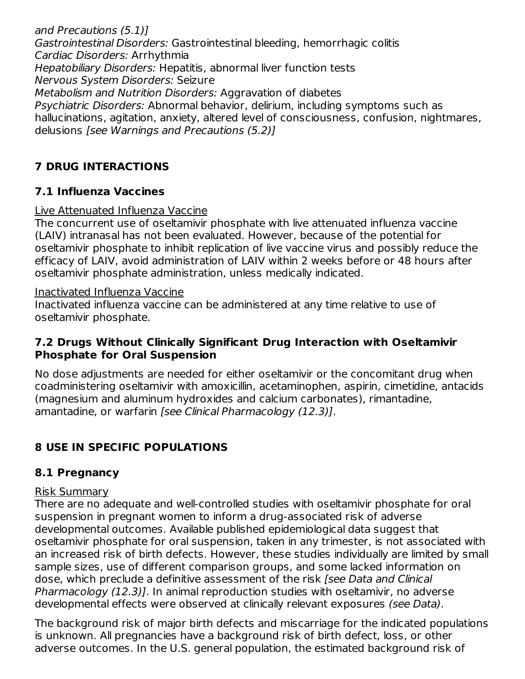and Precautions (5.1)] Gastrointestinal Disorders: Gastrointestinal bleeding, hemorrhagic colitis Cardiac Disorders: Arrhythmia Hepatobiliary Disorders: Hepatitis, abnormal liver function tests Nervous System Disorders: Seizure Metabolism and Nutrition Disorders: Aggravation of diabetes Psychiatric Disorders: Abnormal behavior, delirium, including symptoms such as hallucinations, agitation, anxiety, altered level of consciousness, confusion, nightmares, delusions [see Warnings and Precautions (5.2)]

# **7 DRUG INTERACTIONS**

# **7.1 Influenza Vaccines**

# Live Attenuated Influenza Vaccine

The concurrent use of oseltamivir phosphate with live attenuated influenza vaccine (LAIV) intranasal has not been evaluated. However, because of the potential for oseltamivir phosphate to inhibit replication of live vaccine virus and possibly reduce the efficacy of LAIV, avoid administration of LAIV within 2 weeks before or 48 hours after oseltamivir phosphate administration, unless medically indicated.

### Inactivated Influenza Vaccine

Inactivated influenza vaccine can be administered at any time relative to use of oseltamivir phosphate.

# **7.2 Drugs Without Clinically Significant Drug Interaction with Oseltamivir Phosphate for Oral Suspension**

No dose adjustments are needed for either oseltamivir or the concomitant drug when coadministering oseltamivir with amoxicillin, acetaminophen, aspirin, cimetidine, antacids (magnesium and aluminum hydroxides and calcium carbonates), rimantadine, amantadine, or warfarin [see Clinical Pharmacology (12.3)].

# **8 USE IN SPECIFIC POPULATIONS**

# **8.1 Pregnancy**

### Risk Summary

There are no adequate and well-controlled studies with oseltamivir phosphate for oral suspension in pregnant women to inform a drug‐associated risk of adverse developmental outcomes. Available published epidemiological data suggest that oseltamivir phosphate for oral suspension, taken in any trimester, is not associated with an increased risk of birth defects. However, these studies individually are limited by small sample sizes, use of different comparison groups, and some lacked information on dose, which preclude a definitive assessment of the risk [see Data and Clinical Pharmacology (12.3)]. In animal reproduction studies with oseltamivir, no adverse developmental effects were observed at clinically relevant exposures (see Data).

The background risk of major birth defects and miscarriage for the indicated populations is unknown. All pregnancies have a background risk of birth defect, loss, or other adverse outcomes. In the U.S. general population, the estimated background risk of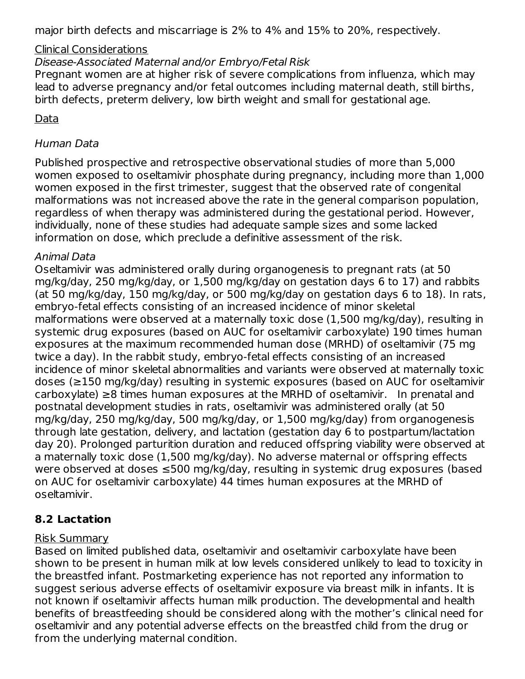major birth defects and miscarriage is 2% to 4% and 15% to 20%, respectively.

#### Clinical Considerations

Disease-Associated Maternal and/or Embryo/Fetal Risk

Pregnant women are at higher risk of severe complications from influenza, which may lead to adverse pregnancy and/or fetal outcomes including maternal death, still births, birth defects, preterm delivery, low birth weight and small for gestational age.

### Data

### Human Data

Published prospective and retrospective observational studies of more than 5,000 women exposed to oseltamivir phosphate during pregnancy, including more than 1,000 women exposed in the first trimester, suggest that the observed rate of congenital malformations was not increased above the rate in the general comparison population, regardless of when therapy was administered during the gestational period. However, individually, none of these studies had adequate sample sizes and some lacked information on dose, which preclude a definitive assessment of the risk.

#### Animal Data

Oseltamivir was administered orally during organogenesis to pregnant rats (at 50 mg/kg/day, 250 mg/kg/day, or 1,500 mg/kg/day on gestation days 6 to 17) and rabbits (at 50 mg/kg/day, 150 mg/kg/day, or 500 mg/kg/day on gestation days 6 to 18). In rats, embryo‐fetal effects consisting of an increased incidence of minor skeletal malformations were observed at a maternally toxic dose (1,500 mg/kg/day), resulting in systemic drug exposures (based on AUC for oseltamivir carboxylate) 190 times human exposures at the maximum recommended human dose (MRHD) of oseltamivir (75 mg twice a day). In the rabbit study, embryo‐fetal effects consisting of an increased incidence of minor skeletal abnormalities and variants were observed at maternally toxic doses (≥150 mg/kg/day) resulting in systemic exposures (based on AUC for oseltamivir carboxylate) ≥8 times human exposures at the MRHD of oseltamivir. In prenatal and postnatal development studies in rats, oseltamivir was administered orally (at 50 mg/kg/day, 250 mg/kg/day, 500 mg/kg/day, or 1,500 mg/kg/day) from organogenesis through late gestation, delivery, and lactation (gestation day 6 to postpartum/lactation day 20). Prolonged parturition duration and reduced offspring viability were observed at a maternally toxic dose (1,500 mg/kg/day). No adverse maternal or offspring effects were observed at doses ≤500 mg/kg/day, resulting in systemic drug exposures (based on AUC for oseltamivir carboxylate) 44 times human exposures at the MRHD of oseltamivir.

# **8.2 Lactation**

#### Risk Summary

Based on limited published data, oseltamivir and oseltamivir carboxylate have been shown to be present in human milk at low levels considered unlikely to lead to toxicity in the breastfed infant. Postmarketing experience has not reported any information to suggest serious adverse effects of oseltamivir exposure via breast milk in infants. It is not known if oseltamivir affects human milk production. The developmental and health benefits of breastfeeding should be considered along with the mother's clinical need for oseltamivir and any potential adverse effects on the breastfed child from the drug or from the underlying maternal condition.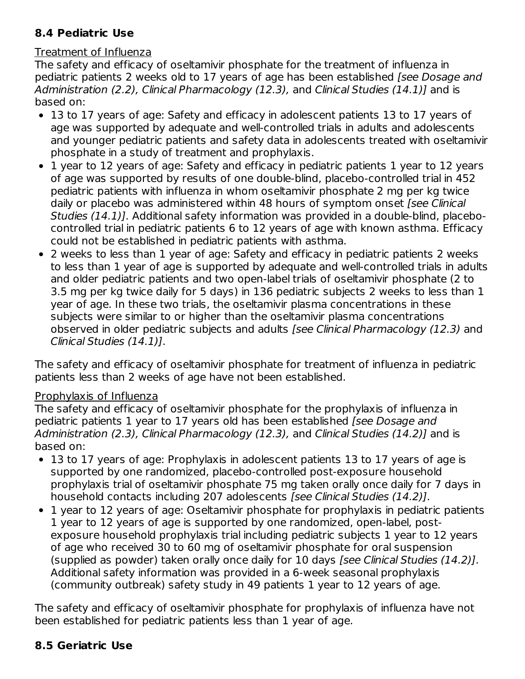# **8.4 Pediatric Use**

### Treatment of Influenza

The safety and efficacy of oseltamivir phosphate for the treatment of influenza in pediatric patients 2 weeks old to 17 years of age has been established [see Dosage and Administration (2.2), Clinical Pharmacology (12.3), and Clinical Studies (14.1)] and is based on:

- 13 to 17 years of age: Safety and efficacy in adolescent patients 13 to 17 years of age was supported by adequate and well-controlled trials in adults and adolescents and younger pediatric patients and safety data in adolescents treated with oseltamivir phosphate in a study of treatment and prophylaxis.
- 1 year to 12 years of age: Safety and efficacy in pediatric patients 1 year to 12 years of age was supported by results of one double-blind, placebo-controlled trial in 452 pediatric patients with influenza in whom oseltamivir phosphate 2 mg per kg twice daily or placebo was administered within 48 hours of symptom onset [see Clinical Studies (14.1)]. Additional safety information was provided in a double-blind, placebocontrolled trial in pediatric patients 6 to 12 years of age with known asthma. Efficacy could not be established in pediatric patients with asthma.
- 2 weeks to less than 1 year of age: Safety and efficacy in pediatric patients 2 weeks to less than 1 year of age is supported by adequate and well-controlled trials in adults and older pediatric patients and two open-label trials of oseltamivir phosphate (2 to 3.5 mg per kg twice daily for 5 days) in 136 pediatric subjects 2 weeks to less than 1 year of age. In these two trials, the oseltamivir plasma concentrations in these subjects were similar to or higher than the oseltamivir plasma concentrations observed in older pediatric subjects and adults [see Clinical Pharmacology (12.3) and Clinical Studies (14.1)].

The safety and efficacy of oseltamivir phosphate for treatment of influenza in pediatric patients less than 2 weeks of age have not been established.

### Prophylaxis of Influenza

The safety and efficacy of oseltamivir phosphate for the prophylaxis of influenza in pediatric patients 1 year to 17 years old has been established [see Dosage and Administration (2.3), Clinical Pharmacology (12.3), and Clinical Studies (14.2)] and is based on:

- 13 to 17 years of age: Prophylaxis in adolescent patients 13 to 17 years of age is supported by one randomized, placebo-controlled post-exposure household prophylaxis trial of oseltamivir phosphate 75 mg taken orally once daily for 7 days in household contacts including 207 adolescents [see Clinical Studies (14.2)].
- 1 year to 12 years of age: Oseltamivir phosphate for prophylaxis in pediatric patients 1 year to 12 years of age is supported by one randomized, open-label, postexposure household prophylaxis trial including pediatric subjects 1 year to 12 years of age who received 30 to 60 mg of oseltamivir phosphate for oral suspension (supplied as powder) taken orally once daily for 10 days [see Clinical Studies (14.2)]. Additional safety information was provided in a 6-week seasonal prophylaxis (community outbreak) safety study in 49 patients 1 year to 12 years of age.

The safety and efficacy of oseltamivir phosphate for prophylaxis of influenza have not been established for pediatric patients less than 1 year of age.

# **8.5 Geriatric Use**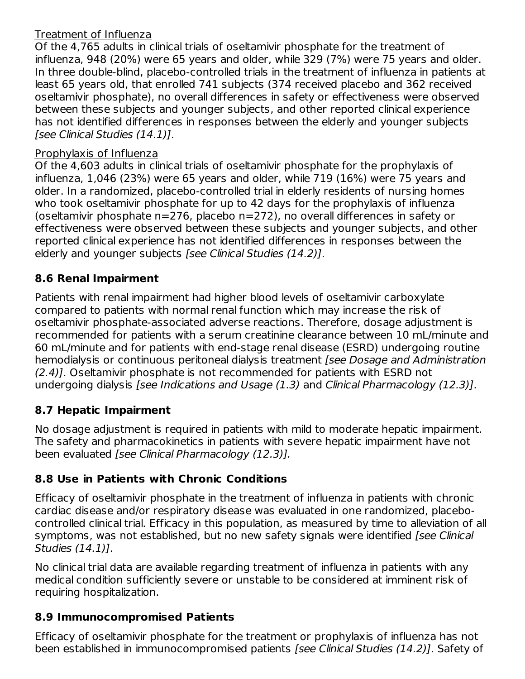# Treatment of Influenza

Of the 4,765 adults in clinical trials of oseltamivir phosphate for the treatment of influenza, 948 (20%) were 65 years and older, while 329 (7%) were 75 years and older. In three double-blind, placebo-controlled trials in the treatment of influenza in patients at least 65 years old, that enrolled 741 subjects (374 received placebo and 362 received oseltamivir phosphate), no overall differences in safety or effectiveness were observed between these subjects and younger subjects, and other reported clinical experience has not identified differences in responses between the elderly and younger subjects [see Clinical Studies (14.1)].

# Prophylaxis of Influenza

Of the 4,603 adults in clinical trials of oseltamivir phosphate for the prophylaxis of influenza, 1,046 (23%) were 65 years and older, while 719 (16%) were 75 years and older. In a randomized, placebo-controlled trial in elderly residents of nursing homes who took oseltamivir phosphate for up to 42 days for the prophylaxis of influenza (oseltamivir phosphate n=276, placebo n=272), no overall differences in safety or effectiveness were observed between these subjects and younger subjects, and other reported clinical experience has not identified differences in responses between the elderly and younger subjects [see Clinical Studies (14.2)].

# **8.6 Renal Impairment**

Patients with renal impairment had higher blood levels of oseltamivir carboxylate compared to patients with normal renal function which may increase the risk of oseltamivir phosphate-associated adverse reactions. Therefore, dosage adjustment is recommended for patients with a serum creatinine clearance between 10 mL/minute and 60 mL/minute and for patients with end-stage renal disease (ESRD) undergoing routine hemodialysis or continuous peritoneal dialysis treatment [see Dosage and Administration (2.4)]. Oseltamivir phosphate is not recommended for patients with ESRD not undergoing dialysis [see Indications and Usage (1.3) and Clinical Pharmacology (12.3)].

# **8.7 Hepatic Impairment**

No dosage adjustment is required in patients with mild to moderate hepatic impairment. The safety and pharmacokinetics in patients with severe hepatic impairment have not been evaluated [see Clinical Pharmacology (12.3)].

# **8.8 Use in Patients with Chronic Conditions**

Efficacy of oseltamivir phosphate in the treatment of influenza in patients with chronic cardiac disease and/or respiratory disease was evaluated in one randomized, placebocontrolled clinical trial. Efficacy in this population, as measured by time to alleviation of all symptoms, was not established, but no new safety signals were identified *[see Clinical* Studies (14.1)].

No clinical trial data are available regarding treatment of influenza in patients with any medical condition sufficiently severe or unstable to be considered at imminent risk of requiring hospitalization.

# **8.9 Immunocompromised Patients**

Efficacy of oseltamivir phosphate for the treatment or prophylaxis of influenza has not been established in immunocompromised patients [see Clinical Studies (14.2)]. Safety of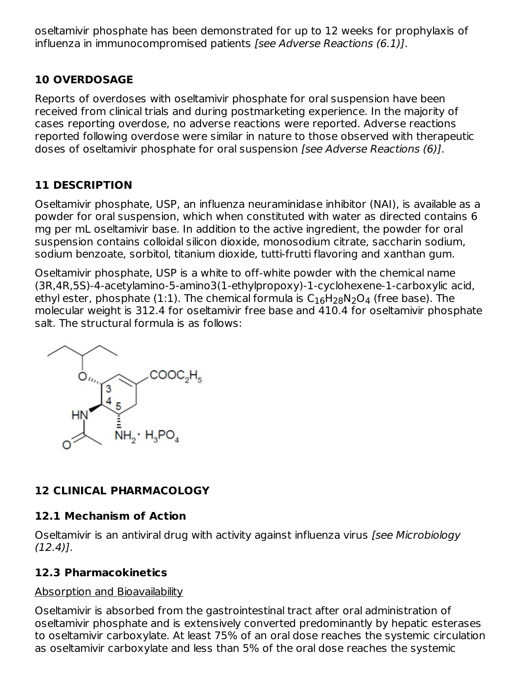oseltamivir phosphate has been demonstrated for up to 12 weeks for prophylaxis of influenza in immunocompromised patients [see Adverse Reactions (6.1)].

# **10 OVERDOSAGE**

Reports of overdoses with oseltamivir phosphate for oral suspension have been received from clinical trials and during postmarketing experience. In the majority of cases reporting overdose, no adverse reactions were reported. Adverse reactions reported following overdose were similar in nature to those observed with therapeutic doses of oseltamivir phosphate for oral suspension [see Adverse Reactions (6)].

# **11 DESCRIPTION**

Oseltamivir phosphate, USP, an influenza neuraminidase inhibitor (NAI), is available as a powder for oral suspension, which when constituted with water as directed contains 6 mg per mL oseltamivir base. In addition to the active ingredient, the powder for oral suspension contains colloidal silicon dioxide, monosodium citrate, saccharin sodium, sodium benzoate, sorbitol, titanium dioxide, tutti-frutti flavoring and xanthan gum.

Oseltamivir phosphate, USP is a white to off-white powder with the chemical name (3R,4R,5S)-4-acetylamino-5-amino3(1-ethylpropoxy)-1-cyclohexene-1-carboxylic acid, ethyl ester, phosphate (1:1). The chemical formula is  $\mathsf{C}_{16}\mathsf{H}_{28}\mathsf{N}_2\mathsf{O}_4$  (free base). The molecular weight is 312.4 for oseltamivir free base and 410.4 for oseltamivir phosphate salt. The structural formula is as follows:



# **12 CLINICAL PHARMACOLOGY**

# **12.1 Mechanism of Action**

Oseltamivir is an antiviral drug with activity against influenza virus [see Microbiology  $(12.4)$ ].

# **12.3 Pharmacokinetics**

# Absorption and Bioavailability

Oseltamivir is absorbed from the gastrointestinal tract after oral administration of oseltamivir phosphate and is extensively converted predominantly by hepatic esterases to oseltamivir carboxylate. At least 75% of an oral dose reaches the systemic circulation as oseltamivir carboxylate and less than 5% of the oral dose reaches the systemic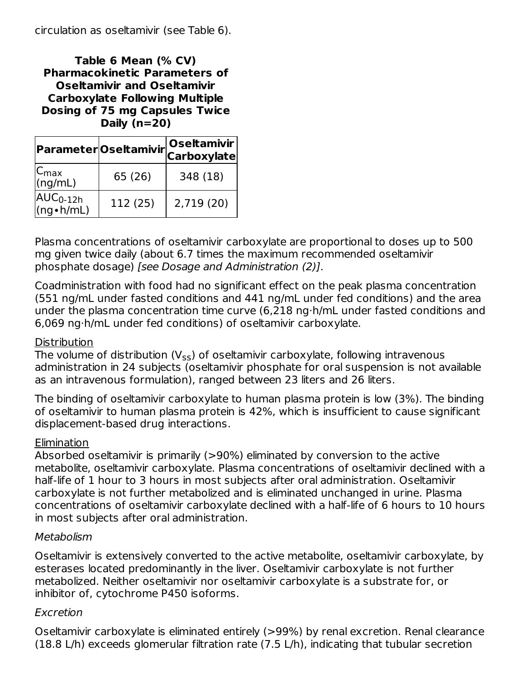circulation as oseltamivir (see Table 6).

**Table 6 Mean (% CV) Pharmacokinetic Parameters of Oseltamivir and Oseltamivir Carboxylate Following Multiple Dosing of 75 mg Capsules Twice Daily (n=20)**

|                               | Parameter Oseltamivir | Oseltamivir<br><b>Carboxylate</b> |  |  |
|-------------------------------|-----------------------|-----------------------------------|--|--|
| $ C_{\text{max}} $<br>(ng/mL) | 65 (26)               | 348 (18)                          |  |  |
| $AUC0-12h$<br>(ng•h/mL)       | 112 (25)              | 2,719(20)                         |  |  |

Plasma concentrations of oseltamivir carboxylate are proportional to doses up to 500 mg given twice daily (about 6.7 times the maximum recommended oseltamivir phosphate dosage) [see Dosage and Administration (2)].

Coadministration with food had no significant effect on the peak plasma concentration (551 ng/mL under fasted conditions and 441 ng/mL under fed conditions) and the area under the plasma concentration time curve (6,218 ng·h/mL under fasted conditions and 6,069 ng·h/mL under fed conditions) of oseltamivir carboxylate.

#### Distribution

The volume of distribution (V $_{\sf ss}$ ) of oseltamivir carboxylate, following intravenous administration in 24 subjects (oseltamivir phosphate for oral suspension is not available as an intravenous formulation), ranged between 23 liters and 26 liters.

The binding of oseltamivir carboxylate to human plasma protein is low (3%). The binding of oseltamivir to human plasma protein is 42%, which is insufficient to cause significant displacement-based drug interactions.

#### Elimination

Absorbed oseltamivir is primarily (>90%) eliminated by conversion to the active metabolite, oseltamivir carboxylate. Plasma concentrations of oseltamivir declined with a half-life of 1 hour to 3 hours in most subjects after oral administration. Oseltamivir carboxylate is not further metabolized and is eliminated unchanged in urine. Plasma concentrations of oseltamivir carboxylate declined with a half-life of 6 hours to 10 hours in most subjects after oral administration.

#### Metabolism

Oseltamivir is extensively converted to the active metabolite, oseltamivir carboxylate, by esterases located predominantly in the liver. Oseltamivir carboxylate is not further metabolized. Neither oseltamivir nor oseltamivir carboxylate is a substrate for, or inhibitor of, cytochrome P450 isoforms.

#### Excretion

Oseltamivir carboxylate is eliminated entirely (>99%) by renal excretion. Renal clearance (18.8 L/h) exceeds glomerular filtration rate (7.5 L/h), indicating that tubular secretion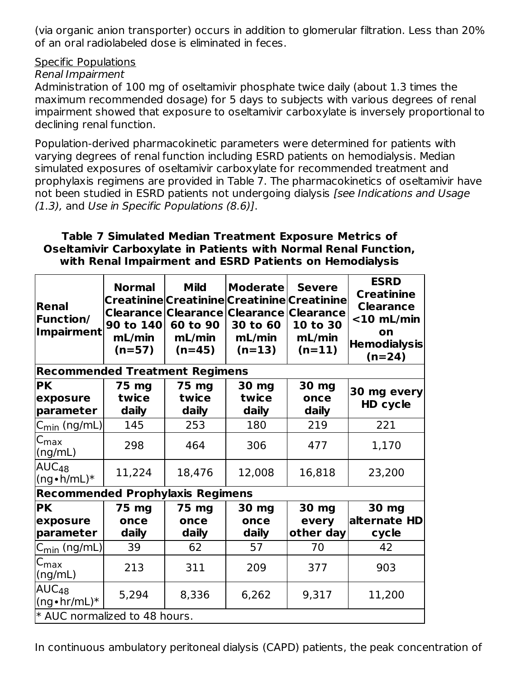(via organic anion transporter) occurs in addition to glomerular filtration. Less than 20% of an oral radiolabeled dose is eliminated in feces.

#### Specific Populations

#### Renal Impairment

Administration of 100 mg of oseltamivir phosphate twice daily (about 1.3 times the maximum recommended dosage) for 5 days to subjects with various degrees of renal impairment showed that exposure to oseltamivir carboxylate is inversely proportional to declining renal function.

Population-derived pharmacokinetic parameters were determined for patients with varying degrees of renal function including ESRD patients on hemodialysis. Median simulated exposures of oseltamivir carboxylate for recommended treatment and prophylaxis regimens are provided in Table 7. The pharmacokinetics of oseltamivir have not been studied in ESRD patients not undergoing dialysis [see Indications and Usage (1.3), and Use in Specific Populations (8.6)].

#### **Table 7 Simulated Median Treatment Exposure Metrics of Oseltamivir Carboxylate in Patients with Normal Renal Function, with Renal Impairment and ESRD Patients on Hemodialysis**

| <b>Renal</b><br><b>Function/</b><br><b>Impairment</b> | <b>Normal</b><br>90 to 140<br>mL/min<br>$(n=57)$ | <b>Mild</b><br>60 to 90<br>mL/min<br>$(n=45)$ | <b>Moderate</b><br>Creatinine Creatinine Creatinine Creatinine<br>Clearance Clearance Clearance Clearance<br>30 to 60<br>mL/min<br>$(n=13)$ | <b>Severe</b><br>10 to 30<br>mL/min<br>$(n=11)$ | <b>ESRD</b><br><b>Creatinine</b><br><b>Clearance</b><br>$<$ 10 mL/min<br>on<br><b>Hemodialysis</b><br>$(n=24)$ |  |
|-------------------------------------------------------|--------------------------------------------------|-----------------------------------------------|---------------------------------------------------------------------------------------------------------------------------------------------|-------------------------------------------------|----------------------------------------------------------------------------------------------------------------|--|
| <b>Recommended Treatment Regimens</b>                 |                                                  |                                               |                                                                                                                                             |                                                 |                                                                                                                |  |
| <b>PK</b><br>exposure<br>parameter                    | 75 mg<br>twice<br>daily                          | 75 mg<br>twice<br>daily                       | 30 mg<br>twice<br>daily                                                                                                                     | 30 mg<br>once<br>daily                          | 30 mg every<br>HD cycle                                                                                        |  |
| C <sub>min</sub> (ng/mL)                              | 145                                              | 253                                           | 180                                                                                                                                         | 219                                             | 221                                                                                                            |  |
| $\mathsf{C}_{\mathsf{max}}$<br>(ng/mL)                | 298                                              | 464                                           | 306                                                                                                                                         | 477                                             | 1,170                                                                                                          |  |
| $AUC_{48}$<br>$(ng \cdot h/mL)^*$                     | 11,224                                           | 18,476                                        | 12,008                                                                                                                                      | 16,818                                          | 23,200                                                                                                         |  |
| <b>Recommended Prophylaxis Regimens</b>               |                                                  |                                               |                                                                                                                                             |                                                 |                                                                                                                |  |
| <b>PK</b><br>exposure<br>parameter                    | 75 mg<br>once<br>daily                           | 75 mg<br>once<br>daily                        | 30 mg<br>once<br>daily                                                                                                                      | 30 mg<br>every<br>other day                     | 30 mg<br>alternate HD<br>cycle                                                                                 |  |
| C <sub>min</sub> (ng/mL)                              | 39                                               | 62                                            | 57                                                                                                                                          | 70                                              | 42                                                                                                             |  |
| $\mathsf{C}_{\mathsf{max}}$<br>(ng/mL)                | 213                                              | 311                                           | 209                                                                                                                                         | 377                                             | 903                                                                                                            |  |
| $AUC_{48}$<br>$(ng \cdot hr/mL)^*$                    | 5,294                                            | 8,336                                         | 6,262                                                                                                                                       | 9,317                                           | 11,200                                                                                                         |  |
| * AUC normalized to 48 hours.                         |                                                  |                                               |                                                                                                                                             |                                                 |                                                                                                                |  |

In continuous ambulatory peritoneal dialysis (CAPD) patients, the peak concentration of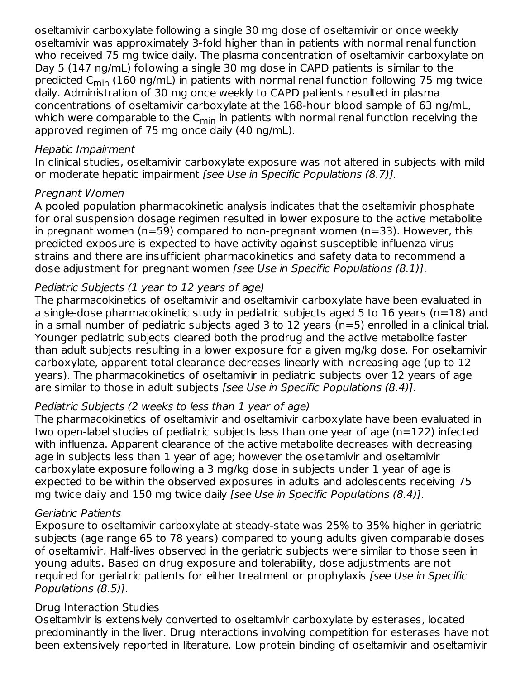oseltamivir carboxylate following a single 30 mg dose of oseltamivir or once weekly oseltamivir was approximately 3-fold higher than in patients with normal renal function who received 75 mg twice daily. The plasma concentration of oseltamivir carboxylate on Day 5 (147 ng/mL) following a single 30 mg dose in CAPD patients is similar to the predicted C<sub>min</sub> (160 ng/mL) in patients with normal renal function following 75 mg twice daily. Administration of 30 mg once weekly to CAPD patients resulted in plasma concentrations of oseltamivir carboxylate at the 168-hour blood sample of 63 ng/mL, which were comparable to the C<sub>min</sub> in patients with normal renal function receiving the approved regimen of 75 mg once daily (40 ng/mL).

#### Hepatic Impairment

In clinical studies, oseltamivir carboxylate exposure was not altered in subjects with mild or moderate hepatic impairment [see Use in Specific Populations (8.7)].

### Pregnant Women

A pooled population pharmacokinetic analysis indicates that the oseltamivir phosphate for oral suspension dosage regimen resulted in lower exposure to the active metabolite in pregnant women (n=59) compared to non-pregnant women (n=33). However, this predicted exposure is expected to have activity against susceptible influenza virus strains and there are insufficient pharmacokinetics and safety data to recommend a dose adjustment for pregnant women [see Use in Specific Populations (8.1)].

# Pediatric Subjects (1 year to 12 years of age)

The pharmacokinetics of oseltamivir and oseltamivir carboxylate have been evaluated in a single-dose pharmacokinetic study in pediatric subjects aged 5 to 16 years (n=18) and in a small number of pediatric subjects aged 3 to 12 years (n=5) enrolled in a clinical trial. Younger pediatric subjects cleared both the prodrug and the active metabolite faster than adult subjects resulting in a lower exposure for a given mg/kg dose. For oseltamivir carboxylate, apparent total clearance decreases linearly with increasing age (up to 12 years). The pharmacokinetics of oseltamivir in pediatric subjects over 12 years of age are similar to those in adult subjects [see Use in Specific Populations (8.4)].

### Pediatric Subjects (2 weeks to less than 1 year of age)

The pharmacokinetics of oseltamivir and oseltamivir carboxylate have been evaluated in two open-label studies of pediatric subjects less than one year of age (n=122) infected with influenza. Apparent clearance of the active metabolite decreases with decreasing age in subjects less than 1 year of age; however the oseltamivir and oseltamivir carboxylate exposure following a 3 mg/kg dose in subjects under 1 year of age is expected to be within the observed exposures in adults and adolescents receiving 75 mg twice daily and 150 mg twice daily [see Use in Specific Populations (8.4)].

### Geriatric Patients

Exposure to oseltamivir carboxylate at steady-state was 25% to 35% higher in geriatric subjects (age range 65 to 78 years) compared to young adults given comparable doses of oseltamivir. Half-lives observed in the geriatric subjects were similar to those seen in young adults. Based on drug exposure and tolerability, dose adjustments are not required for geriatric patients for either treatment or prophylaxis [see Use in Specific Populations (8.5)].

### Drug Interaction Studies

Oseltamivir is extensively converted to oseltamivir carboxylate by esterases, located predominantly in the liver. Drug interactions involving competition for esterases have not been extensively reported in literature. Low protein binding of oseltamivir and oseltamivir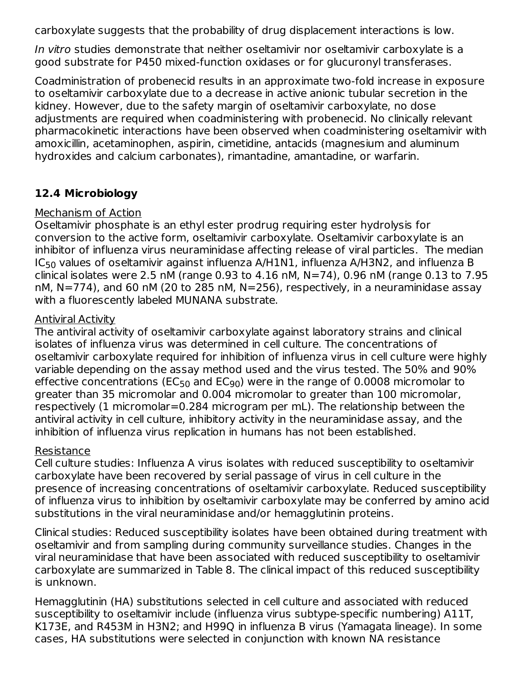carboxylate suggests that the probability of drug displacement interactions is low.

In vitro studies demonstrate that neither oseltamivir nor oseltamivir carboxylate is a good substrate for P450 mixed-function oxidases or for glucuronyl transferases.

Coadministration of probenecid results in an approximate two-fold increase in exposure to oseltamivir carboxylate due to a decrease in active anionic tubular secretion in the kidney. However, due to the safety margin of oseltamivir carboxylate, no dose adjustments are required when coadministering with probenecid. No clinically relevant pharmacokinetic interactions have been observed when coadministering oseltamivir with amoxicillin, acetaminophen, aspirin, cimetidine, antacids (magnesium and aluminum hydroxides and calcium carbonates), rimantadine, amantadine, or warfarin.

# **12.4 Microbiology**

#### Mechanism of Action

Oseltamivir phosphate is an ethyl ester prodrug requiring ester hydrolysis for conversion to the active form, oseltamivir carboxylate. Oseltamivir carboxylate is an inhibitor of influenza virus neuraminidase affecting release of viral particles. The median IC $_{50}$  values of oseltamivir against influenza A/H $1$ N $1$ , influenza A/H $3$ N $2$ , and influenza B clinical isolates were 2.5 nM (range 0.93 to 4.16 nM,  $N=74$ ), 0.96 nM (range 0.13 to 7.95 nM, N=774), and 60 nM (20 to 285 nM, N=256), respectively, in a neuraminidase assay with a fluorescently labeled MUNANA substrate.

### Antiviral Activity

The antiviral activity of oseltamivir carboxylate against laboratory strains and clinical isolates of influenza virus was determined in cell culture. The concentrations of oseltamivir carboxylate required for inhibition of influenza virus in cell culture were highly variable depending on the assay method used and the virus tested. The 50% and 90% effective concentrations (EC<sub>50</sub> and EC<sub>90</sub>) were in the range of 0.0008 micromolar to greater than 35 micromolar and 0.004 micromolar to greater than 100 micromolar, respectively (1 micromolar=0.284 microgram per mL). The relationship between the antiviral activity in cell culture, inhibitory activity in the neuraminidase assay, and the inhibition of influenza virus replication in humans has not been established.

### Resistance

Cell culture studies: Influenza A virus isolates with reduced susceptibility to oseltamivir carboxylate have been recovered by serial passage of virus in cell culture in the presence of increasing concentrations of oseltamivir carboxylate. Reduced susceptibility of influenza virus to inhibition by oseltamivir carboxylate may be conferred by amino acid substitutions in the viral neuraminidase and/or hemagglutinin proteins.

Clinical studies: Reduced susceptibility isolates have been obtained during treatment with oseltamivir and from sampling during community surveillance studies. Changes in the viral neuraminidase that have been associated with reduced susceptibility to oseltamivir carboxylate are summarized in Table 8. The clinical impact of this reduced susceptibility is unknown.

Hemagglutinin (HA) substitutions selected in cell culture and associated with reduced susceptibility to oseltamivir include (influenza virus subtype-specific numbering) A11T, K173E, and R453M in H3N2; and H99Q in influenza B virus (Yamagata lineage). In some cases, HA substitutions were selected in conjunction with known NA resistance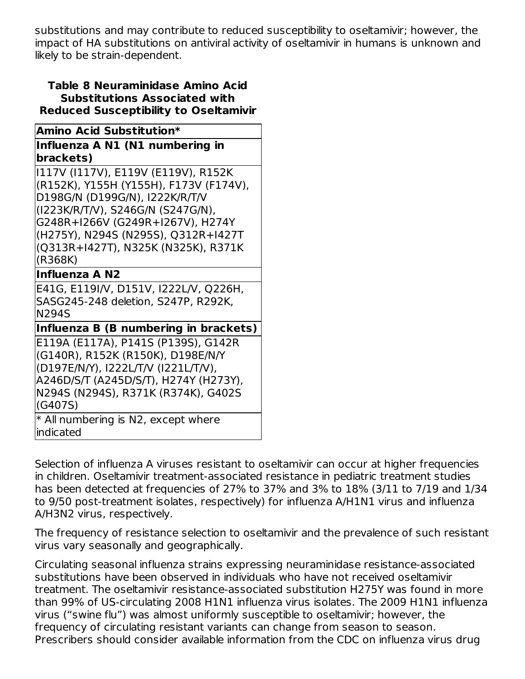substitutions and may contribute to reduced susceptibility to oseltamivir; however, the impact of HA substitutions on antiviral activity of oseltamivir in humans is unknown and likely to be strain-dependent.

#### **Table 8 Neuraminidase Amino Acid Substitutions Associated with Reduced Susceptibility to Oseltamivir**

| Amino Acid Substitution*                                                                                                                                                                                   |  |  |  |  |
|------------------------------------------------------------------------------------------------------------------------------------------------------------------------------------------------------------|--|--|--|--|
| Influenza A N1 (N1 numbering in                                                                                                                                                                            |  |  |  |  |
| brackets)                                                                                                                                                                                                  |  |  |  |  |
| I117V (I117V), E119V (E119V), R152K<br>(R152K), Y155H (Y155H), F173V (F174V),<br>D198G/N (D199G/N), I222K/R/T/V<br>(I223K/R/T/V), S246G/N (S247G/N),                                                       |  |  |  |  |
| G248R+I266V (G249R+I267V), H274Y<br>(H275Y), N294S (N295S), Q312R+I427T<br>(Q313R+I427T), N325K (N325K), R371K<br>(R368K)                                                                                  |  |  |  |  |
| <b>Influenza A N2</b>                                                                                                                                                                                      |  |  |  |  |
| E41G, E119I/V, D151V, I222L/V, Q226H,<br>SASG245-248 deletion, S247P, R292K,<br><b>N294S</b>                                                                                                               |  |  |  |  |
| Influenza B (B numbering in brackets)                                                                                                                                                                      |  |  |  |  |
| E119A (E117A), P141S (P139S), G142R<br>(G140R), R152K (R150K), D198E/N/Y<br>(D197E/N/Y), I222L/T/V (I221L/T/V),<br>A246D/S/T (A245D/S/T), H274Y (H273Y),<br>N294S (N294S), R371K (R374K), G402S<br>(G407S) |  |  |  |  |
| * All numbering is N2, except where<br>indicated                                                                                                                                                           |  |  |  |  |

Selection of influenza A viruses resistant to oseltamivir can occur at higher frequencies in children. Oseltamivir treatment-associated resistance in pediatric treatment studies has been detected at frequencies of 27% to 37% and 3% to 18% (3/11 to 7/19 and 1/34 to 9/50 post-treatment isolates, respectively) for influenza A/H1N1 virus and influenza A/H3N2 virus, respectively.

The frequency of resistance selection to oseltamivir and the prevalence of such resistant virus vary seasonally and geographically.

Circulating seasonal influenza strains expressing neuraminidase resistance-associated substitutions have been observed in individuals who have not received oseltamivir treatment. The oseltamivir resistance-associated substitution H275Y was found in more than 99% of US-circulating 2008 H1N1 influenza virus isolates. The 2009 H1N1 influenza virus ("swine flu") was almost uniformly susceptible to oseltamivir; however, the frequency of circulating resistant variants can change from season to season. Prescribers should consider available information from the CDC on influenza virus drug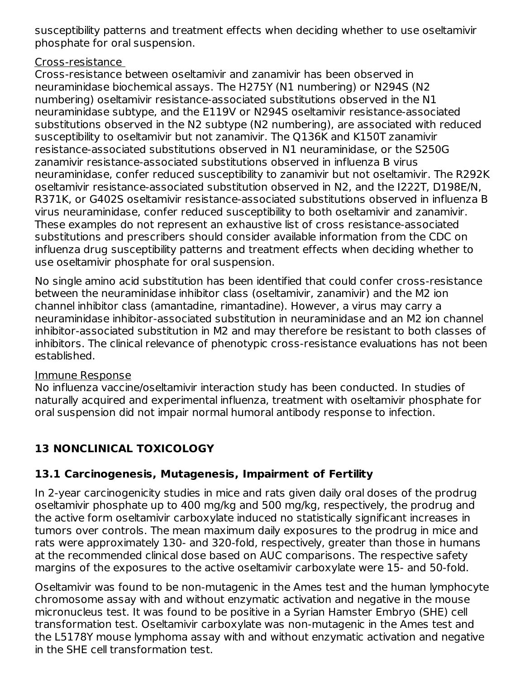susceptibility patterns and treatment effects when deciding whether to use oseltamivir phosphate for oral suspension.

### Cross-resistance

Cross-resistance between oseltamivir and zanamivir has been observed in neuraminidase biochemical assays. The H275Y (N1 numbering) or N294S (N2 numbering) oseltamivir resistance-associated substitutions observed in the N1 neuraminidase subtype, and the E119V or N294S oseltamivir resistance-associated substitutions observed in the N2 subtype (N2 numbering), are associated with reduced susceptibility to oseltamivir but not zanamivir. The Q136K and K150T zanamivir resistance-associated substitutions observed in N1 neuraminidase, or the S250G zanamivir resistance-associated substitutions observed in influenza B virus neuraminidase, confer reduced susceptibility to zanamivir but not oseltamivir. The R292K oseltamivir resistance-associated substitution observed in N2, and the I222T, D198E/N, R371K, or G402S oseltamivir resistance-associated substitutions observed in influenza B virus neuraminidase, confer reduced susceptibility to both oseltamivir and zanamivir. These examples do not represent an exhaustive list of cross resistance-associated substitutions and prescribers should consider available information from the CDC on influenza drug susceptibility patterns and treatment effects when deciding whether to use oseltamivir phosphate for oral suspension.

No single amino acid substitution has been identified that could confer cross-resistance between the neuraminidase inhibitor class (oseltamivir, zanamivir) and the M2 ion channel inhibitor class (amantadine, rimantadine). However, a virus may carry a neuraminidase inhibitor-associated substitution in neuraminidase and an M2 ion channel inhibitor-associated substitution in M2 and may therefore be resistant to both classes of inhibitors. The clinical relevance of phenotypic cross-resistance evaluations has not been established.

### Immune Response

No influenza vaccine/oseltamivir interaction study has been conducted. In studies of naturally acquired and experimental influenza, treatment with oseltamivir phosphate for oral suspension did not impair normal humoral antibody response to infection.

# **13 NONCLINICAL TOXICOLOGY**

# **13.1 Carcinogenesis, Mutagenesis, Impairment of Fertility**

In 2-year carcinogenicity studies in mice and rats given daily oral doses of the prodrug oseltamivir phosphate up to 400 mg/kg and 500 mg/kg, respectively, the prodrug and the active form oseltamivir carboxylate induced no statistically significant increases in tumors over controls. The mean maximum daily exposures to the prodrug in mice and rats were approximately 130- and 320-fold, respectively, greater than those in humans at the recommended clinical dose based on AUC comparisons. The respective safety margins of the exposures to the active oseltamivir carboxylate were 15- and 50-fold.

Oseltamivir was found to be non-mutagenic in the Ames test and the human lymphocyte chromosome assay with and without enzymatic activation and negative in the mouse micronucleus test. It was found to be positive in a Syrian Hamster Embryo (SHE) cell transformation test. Oseltamivir carboxylate was non-mutagenic in the Ames test and the L5178Y mouse lymphoma assay with and without enzymatic activation and negative in the SHE cell transformation test.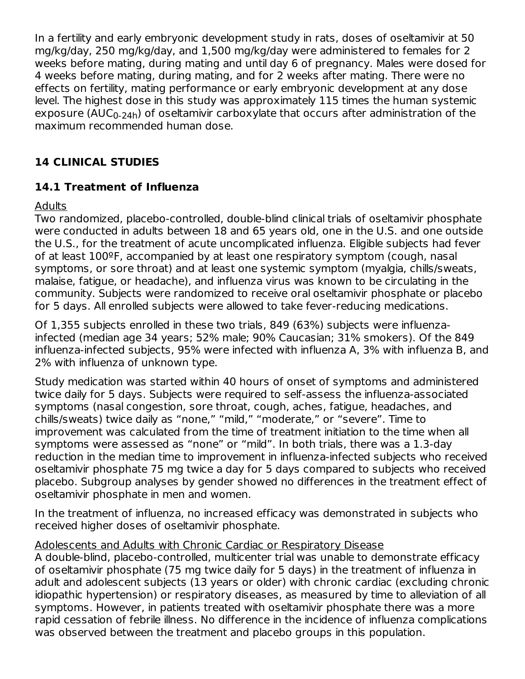In a fertility and early embryonic development study in rats, doses of oseltamivir at 50 mg/kg/day, 250 mg/kg/day, and 1,500 mg/kg/day were administered to females for 2 weeks before mating, during mating and until day 6 of pregnancy. Males were dosed for 4 weeks before mating, during mating, and for 2 weeks after mating. There were no effects on fertility, mating performance or early embryonic development at any dose level. The highest dose in this study was approximately 115 times the human systemic exposure (AUC<sub>0-24h</sub>) of oseltamivir carboxylate that occurs after administration of the maximum recommended human dose.

# **14 CLINICAL STUDIES**

# **14.1 Treatment of Influenza**

# **Adults**

Two randomized, placebo-controlled, double-blind clinical trials of oseltamivir phosphate were conducted in adults between 18 and 65 years old, one in the U.S. and one outside the U.S., for the treatment of acute uncomplicated influenza. Eligible subjects had fever of at least 100ºF, accompanied by at least one respiratory symptom (cough, nasal symptoms, or sore throat) and at least one systemic symptom (myalgia, chills/sweats, malaise, fatigue, or headache), and influenza virus was known to be circulating in the community. Subjects were randomized to receive oral oseltamivir phosphate or placebo for 5 days. All enrolled subjects were allowed to take fever-reducing medications.

Of 1,355 subjects enrolled in these two trials, 849 (63%) subjects were influenzainfected (median age 34 years; 52% male; 90% Caucasian; 31% smokers). Of the 849 influenza-infected subjects, 95% were infected with influenza A, 3% with influenza B, and 2% with influenza of unknown type.

Study medication was started within 40 hours of onset of symptoms and administered twice daily for 5 days. Subjects were required to self-assess the influenza-associated symptoms (nasal congestion, sore throat, cough, aches, fatigue, headaches, and chills/sweats) twice daily as "none," "mild," "moderate," or "severe". Time to improvement was calculated from the time of treatment initiation to the time when all symptoms were assessed as "none" or "mild". In both trials, there was a 1.3-day reduction in the median time to improvement in influenza-infected subjects who received oseltamivir phosphate 75 mg twice a day for 5 days compared to subjects who received placebo. Subgroup analyses by gender showed no differences in the treatment effect of oseltamivir phosphate in men and women.

In the treatment of influenza, no increased efficacy was demonstrated in subjects who received higher doses of oseltamivir phosphate.

### Adolescents and Adults with Chronic Cardiac or Respiratory Disease

A double-blind, placebo-controlled, multicenter trial was unable to demonstrate efficacy of oseltamivir phosphate (75 mg twice daily for 5 days) in the treatment of influenza in adult and adolescent subjects (13 years or older) with chronic cardiac (excluding chronic idiopathic hypertension) or respiratory diseases, as measured by time to alleviation of all symptoms. However, in patients treated with oseltamivir phosphate there was a more rapid cessation of febrile illness. No difference in the incidence of influenza complications was observed between the treatment and placebo groups in this population.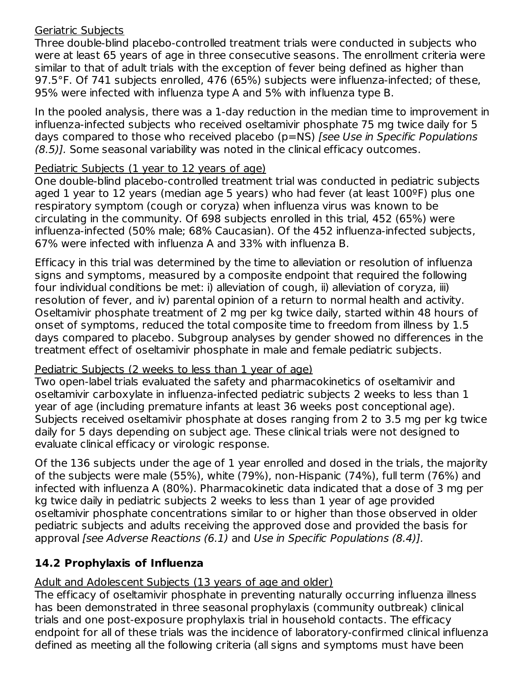### Geriatric Subjects

Three double-blind placebo-controlled treatment trials were conducted in subjects who were at least 65 years of age in three consecutive seasons. The enrollment criteria were similar to that of adult trials with the exception of fever being defined as higher than 97.5°F. Of 741 subjects enrolled, 476 (65%) subjects were influenza-infected; of these, 95% were infected with influenza type A and 5% with influenza type B.

In the pooled analysis, there was a 1-day reduction in the median time to improvement in influenza-infected subjects who received oseltamivir phosphate 75 mg twice daily for 5 days compared to those who received placebo (p=NS) [see Use in Specific Populations (8.5)]. Some seasonal variability was noted in the clinical efficacy outcomes.

# Pediatric Subjects (1 year to 12 years of age)

One double-blind placebo-controlled treatment trial was conducted in pediatric subjects aged 1 year to 12 years (median age 5 years) who had fever (at least  $100^{\circ}$ F) plus one respiratory symptom (cough or coryza) when influenza virus was known to be circulating in the community. Of 698 subjects enrolled in this trial, 452 (65%) were influenza-infected (50% male; 68% Caucasian). Of the 452 influenza-infected subjects, 67% were infected with influenza A and 33% with influenza B.

Efficacy in this trial was determined by the time to alleviation or resolution of influenza signs and symptoms, measured by a composite endpoint that required the following four individual conditions be met: i) alleviation of cough, ii) alleviation of coryza, iii) resolution of fever, and iv) parental opinion of a return to normal health and activity. Oseltamivir phosphate treatment of 2 mg per kg twice daily, started within 48 hours of onset of symptoms, reduced the total composite time to freedom from illness by 1.5 days compared to placebo. Subgroup analyses by gender showed no differences in the treatment effect of oseltamivir phosphate in male and female pediatric subjects.

# Pediatric Subjects (2 weeks to less than 1 year of age)

Two open-label trials evaluated the safety and pharmacokinetics of oseltamivir and oseltamivir carboxylate in influenza-infected pediatric subjects 2 weeks to less than 1 year of age (including premature infants at least 36 weeks post conceptional age). Subjects received oseltamivir phosphate at doses ranging from 2 to 3.5 mg per kg twice daily for 5 days depending on subject age. These clinical trials were not designed to evaluate clinical efficacy or virologic response.

Of the 136 subjects under the age of 1 year enrolled and dosed in the trials, the majority of the subjects were male (55%), white (79%), non-Hispanic (74%), full term (76%) and infected with influenza A (80%). Pharmacokinetic data indicated that a dose of 3 mg per kg twice daily in pediatric subjects 2 weeks to less than 1 year of age provided oseltamivir phosphate concentrations similar to or higher than those observed in older pediatric subjects and adults receiving the approved dose and provided the basis for approval [see Adverse Reactions (6.1) and Use in Specific Populations (8.4)].

# **14.2 Prophylaxis of Influenza**

Adult and Adolescent Subjects (13 years of age and older)

The efficacy of oseltamivir phosphate in preventing naturally occurring influenza illness has been demonstrated in three seasonal prophylaxis (community outbreak) clinical trials and one post-exposure prophylaxis trial in household contacts. The efficacy endpoint for all of these trials was the incidence of laboratory-confirmed clinical influenza defined as meeting all the following criteria (all signs and symptoms must have been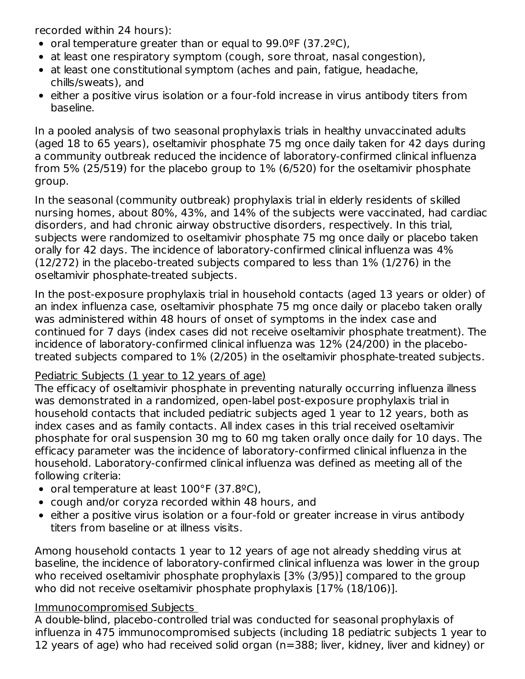recorded within 24 hours):

- oral temperature greater than or equal to  $99.0^{\circ}$ F (37.2 $^{\circ}$ C),
- at least one respiratory symptom (cough, sore throat, nasal congestion),
- at least one constitutional symptom (aches and pain, fatigue, headache, chills/sweats), and
- either a positive virus isolation or a four-fold increase in virus antibody titers from baseline.

In a pooled analysis of two seasonal prophylaxis trials in healthy unvaccinated adults (aged 18 to 65 years), oseltamivir phosphate 75 mg once daily taken for 42 days during a community outbreak reduced the incidence of laboratory-confirmed clinical influenza from 5% (25/519) for the placebo group to 1% (6/520) for the oseltamivir phosphate group.

In the seasonal (community outbreak) prophylaxis trial in elderly residents of skilled nursing homes, about 80%, 43%, and 14% of the subjects were vaccinated, had cardiac disorders, and had chronic airway obstructive disorders, respectively. In this trial, subjects were randomized to oseltamivir phosphate 75 mg once daily or placebo taken orally for 42 days. The incidence of laboratory-confirmed clinical influenza was 4% (12/272) in the placebo-treated subjects compared to less than 1% (1/276) in the oseltamivir phosphate-treated subjects.

In the post-exposure prophylaxis trial in household contacts (aged 13 years or older) of an index influenza case, oseltamivir phosphate 75 mg once daily or placebo taken orally was administered within 48 hours of onset of symptoms in the index case and continued for 7 days (index cases did not receive oseltamivir phosphate treatment). The incidence of laboratory-confirmed clinical influenza was 12% (24/200) in the placebotreated subjects compared to 1% (2/205) in the oseltamivir phosphate-treated subjects.

### Pediatric Subjects (1 year to 12 years of age)

The efficacy of oseltamivir phosphate in preventing naturally occurring influenza illness was demonstrated in a randomized, open-label post-exposure prophylaxis trial in household contacts that included pediatric subjects aged 1 year to 12 years, both as index cases and as family contacts. All index cases in this trial received oseltamivir phosphate for oral suspension 30 mg to 60 mg taken orally once daily for 10 days. The efficacy parameter was the incidence of laboratory-confirmed clinical influenza in the household. Laboratory-confirmed clinical influenza was defined as meeting all of the following criteria:

- oral temperature at least  $100^{\circ}$ F (37.8 $^{9}$ C),
- cough and/or coryza recorded within 48 hours, and
- either a positive virus isolation or a four-fold or greater increase in virus antibody titers from baseline or at illness visits.

Among household contacts 1 year to 12 years of age not already shedding virus at baseline, the incidence of laboratory-confirmed clinical influenza was lower in the group who received oseltamivir phosphate prophylaxis [3% (3/95)] compared to the group who did not receive oseltamivir phosphate prophylaxis [17% (18/106)].

### Immunocompromised Subjects

A double-blind, placebo-controlled trial was conducted for seasonal prophylaxis of influenza in 475 immunocompromised subjects (including 18 pediatric subjects 1 year to 12 years of age) who had received solid organ (n=388; liver, kidney, liver and kidney) or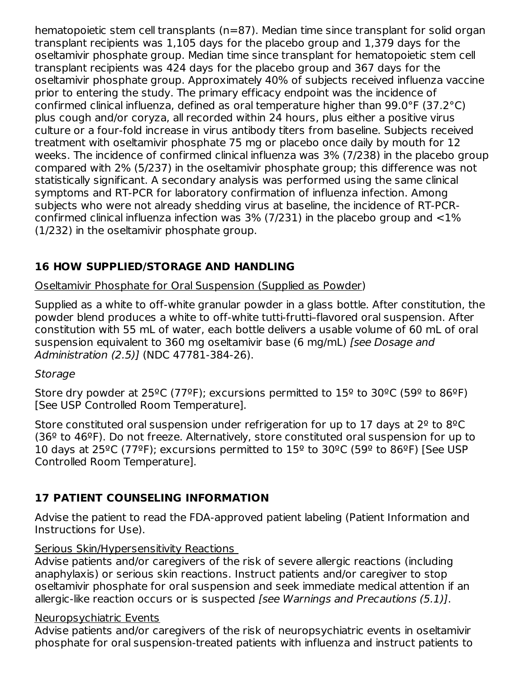hematopoietic stem cell transplants (n=87). Median time since transplant for solid organ transplant recipients was 1,105 days for the placebo group and 1,379 days for the oseltamivir phosphate group. Median time since transplant for hematopoietic stem cell transplant recipients was 424 days for the placebo group and 367 days for the oseltamivir phosphate group. Approximately 40% of subjects received influenza vaccine prior to entering the study. The primary efficacy endpoint was the incidence of confirmed clinical influenza, defined as oral temperature higher than 99.0°F (37.2°C) plus cough and/or coryza, all recorded within 24 hours, plus either a positive virus culture or a four-fold increase in virus antibody titers from baseline. Subjects received treatment with oseltamivir phosphate 75 mg or placebo once daily by mouth for 12 weeks. The incidence of confirmed clinical influenza was 3% (7/238) in the placebo group compared with 2% (5/237) in the oseltamivir phosphate group; this difference was not statistically significant. A secondary analysis was performed using the same clinical symptoms and RT-PCR for laboratory confirmation of influenza infection. Among subjects who were not already shedding virus at baseline, the incidence of RT-PCRconfirmed clinical influenza infection was  $3\%$  (7/231) in the placebo group and  $\langle 1\% \rangle$ (1/232) in the oseltamivir phosphate group.

# **16 HOW SUPPLIED/STORAGE AND HANDLING**

Oseltamivir Phosphate for Oral Suspension (Supplied as Powder)

Supplied as a white to off-white granular powder in a glass bottle. After constitution, the powder blend produces a white to off-white tutti-frutti–flavored oral suspension. After constitution with 55 mL of water, each bottle delivers a usable volume of 60 mL of oral suspension equivalent to 360 mg oseltamivir base (6 mg/mL) [see Dosage and Administration (2.5)] (NDC 47781-384-26).

# **Storage**

Store dry powder at  $25^{\circ}$ C (77<sup>o</sup>F); excursions permitted to  $15^{\circ}$  to  $30^{\circ}$ C (59<sup>o</sup> to 86<sup>o</sup>F) [See USP Controlled Room Temperature].

Store constituted oral suspension under refrigeration for up to 17 days at  $2^{\circ}$  to  $8^{\circ}$ C  $(36<sup>°</sup>$  to 46<sup>°</sup>F). Do not freeze. Alternatively, store constituted oral suspension for up to 10 days at 25<sup>o</sup>C (77<sup>o</sup>F); excursions permitted to  $15^{\circ}$  to  $30^{\circ}$ C (59<sup>o</sup> to 86<sup>o</sup>F) [See USP] Controlled Room Temperature].

# **17 PATIENT COUNSELING INFORMATION**

Advise the patient to read the FDA-approved patient labeling (Patient Information and Instructions for Use).

# Serious Skin/Hypersensitivity Reactions

Advise patients and/or caregivers of the risk of severe allergic reactions (including anaphylaxis) or serious skin reactions. Instruct patients and/or caregiver to stop oseltamivir phosphate for oral suspension and seek immediate medical attention if an allergic-like reaction occurs or is suspected *[see Warnings and Precautions (5.1)]*.

# Neuropsychiatric Events

Advise patients and/or caregivers of the risk of neuropsychiatric events in oseltamivir phosphate for oral suspension-treated patients with influenza and instruct patients to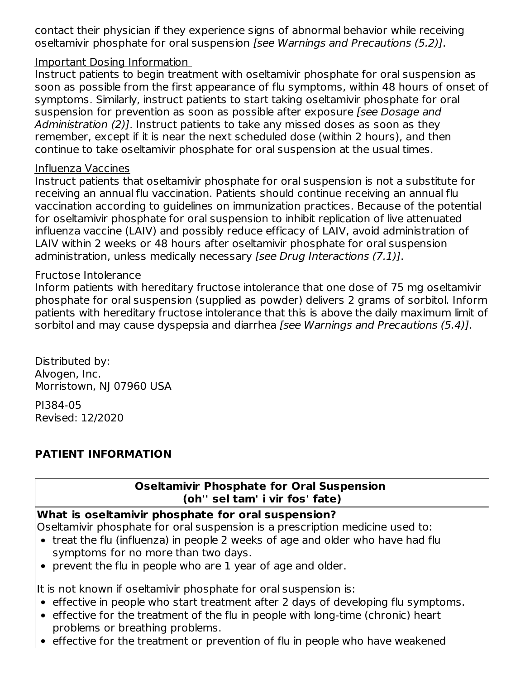contact their physician if they experience signs of abnormal behavior while receiving oseltamivir phosphate for oral suspension [see Warnings and Precautions (5.2)].

### Important Dosing Information

Instruct patients to begin treatment with oseltamivir phosphate for oral suspension as soon as possible from the first appearance of flu symptoms, within 48 hours of onset of symptoms. Similarly, instruct patients to start taking oseltamivir phosphate for oral suspension for prevention as soon as possible after exposure (see Dosage and Administration (2)]. Instruct patients to take any missed doses as soon as they remember, except if it is near the next scheduled dose (within 2 hours), and then continue to take oseltamivir phosphate for oral suspension at the usual times.

#### Influenza Vaccines

Instruct patients that oseltamivir phosphate for oral suspension is not a substitute for receiving an annual flu vaccination. Patients should continue receiving an annual flu vaccination according to guidelines on immunization practices. Because of the potential for oseltamivir phosphate for oral suspension to inhibit replication of live attenuated influenza vaccine (LAIV) and possibly reduce efficacy of LAIV, avoid administration of LAIV within 2 weeks or 48 hours after oseltamivir phosphate for oral suspension administration, unless medically necessary [see Drug Interactions (7.1)].

#### Fructose Intolerance

Inform patients with hereditary fructose intolerance that one dose of 75 mg oseltamivir phosphate for oral suspension (supplied as powder) delivers 2 grams of sorbitol. Inform patients with hereditary fructose intolerance that this is above the daily maximum limit of sorbitol and may cause dyspepsia and diarrhea [see Warnings and Precautions (5.4)].

Distributed by: Alvogen, Inc. Morristown, NJ 07960 USA

PI384-05 Revised: 12/2020

# **PATIENT INFORMATION**

# **Oseltamivir Phosphate for Oral Suspension (oh'' sel tam' i vir fos' fate)**

# **What is oseltamivir phosphate for oral suspension?**

Oseltamivir phosphate for oral suspension is a prescription medicine used to:

- treat the flu (influenza) in people 2 weeks of age and older who have had flu symptoms for no more than two days.
- prevent the flu in people who are 1 year of age and older.

It is not known if oseltamivir phosphate for oral suspension is:

- effective in people who start treatment after 2 days of developing flu symptoms.
- effective for the treatment of the flu in people with long-time (chronic) heart problems or breathing problems.
- effective for the treatment or prevention of flu in people who have weakened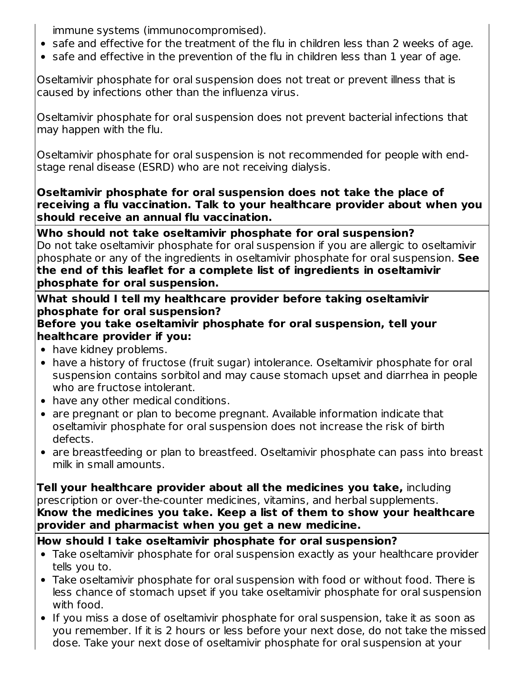immune systems (immunocompromised).

- safe and effective for the treatment of the flu in children less than 2 weeks of age.
- safe and effective in the prevention of the flu in children less than 1 year of age.

Oseltamivir phosphate for oral suspension does not treat or prevent illness that is caused by infections other than the influenza virus.

Oseltamivir phosphate for oral suspension does not prevent bacterial infections that may happen with the flu.

Oseltamivir phosphate for oral suspension is not recommended for people with endstage renal disease (ESRD) who are not receiving dialysis.

**Oseltamivir phosphate for oral suspension does not take the place of receiving a flu vaccination. Talk to your healthcare provider about when you should receive an annual flu vaccination.**

**Who should not take oseltamivir phosphate for oral suspension?** Do not take oseltamivir phosphate for oral suspension if you are allergic to oseltamivir phosphate or any of the ingredients in oseltamivir phosphate for oral suspension. **See the end of this leaflet for a complete list of ingredients in oseltamivir phosphate for oral suspension.**

**What should I tell my healthcare provider before taking oseltamivir phosphate for oral suspension?**

### **Before you take oseltamivir phosphate for oral suspension, tell your healthcare provider if you:**

- have kidney problems.
- have a history of fructose (fruit sugar) intolerance. Oseltamivir phosphate for oral suspension contains sorbitol and may cause stomach upset and diarrhea in people who are fructose intolerant.
- have any other medical conditions.
- are pregnant or plan to become pregnant. Available information indicate that oseltamivir phosphate for oral suspension does not increase the risk of birth defects.
- are breastfeeding or plan to breastfeed. Oseltamivir phosphate can pass into breast milk in small amounts.

**Tell your healthcare provider about all the medicines you take,** including prescription or over-the-counter medicines, vitamins, and herbal supplements. **Know the medicines you take. Keep a list of them to show your healthcare provider and pharmacist when you get a new medicine.**

# **How should I take oseltamivir phosphate for oral suspension?**

- Take oseltamivir phosphate for oral suspension exactly as your healthcare provider tells you to.
- Take oseltamivir phosphate for oral suspension with food or without food. There is less chance of stomach upset if you take oseltamivir phosphate for oral suspension with food.
- If you miss a dose of oseltamivir phosphate for oral suspension, take it as soon as you remember. If it is 2 hours or less before your next dose, do not take the missed dose. Take your next dose of oseltamivir phosphate for oral suspension at your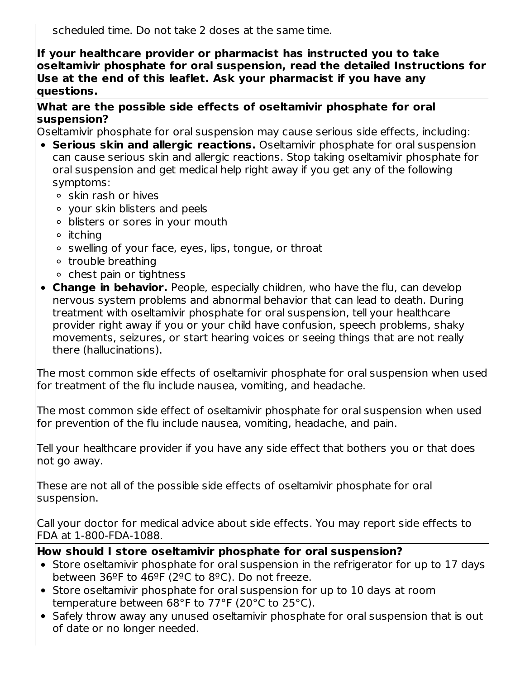scheduled time. Do not take 2 doses at the same time.

**If your healthcare provider or pharmacist has instructed you to take oseltamivir phosphate for oral suspension, read the detailed Instructions for Use at the end of this leaflet. Ask your pharmacist if you have any questions.**

#### **What are the possible side effects of oseltamivir phosphate for oral suspension?**

Oseltamivir phosphate for oral suspension may cause serious side effects, including:

- **Serious skin and allergic reactions.** Oseltamivir phosphate for oral suspension can cause serious skin and allergic reactions. Stop taking oseltamivir phosphate for oral suspension and get medical help right away if you get any of the following symptoms:
	- o skin rash or hives
	- your skin blisters and peels
	- blisters or sores in your mouth
	- $\circ$  itching
	- ∘ swelling of your face, eyes, lips, tongue, or throat
	- o trouble breathing
	- $\circ$  chest pain or tightness
- **Change in behavior.** People, especially children, who have the flu, can develop nervous system problems and abnormal behavior that can lead to death. During treatment with oseltamivir phosphate for oral suspension, tell your healthcare provider right away if you or your child have confusion, speech problems, shaky movements, seizures, or start hearing voices or seeing things that are not really there (hallucinations).

The most common side effects of oseltamivir phosphate for oral suspension when used for treatment of the flu include nausea, vomiting, and headache.

The most common side effect of oseltamivir phosphate for oral suspension when used for prevention of the flu include nausea, vomiting, headache, and pain.

Tell your healthcare provider if you have any side effect that bothers you or that does not go away.

These are not all of the possible side effects of oseltamivir phosphate for oral suspension.

Call your doctor for medical advice about side effects. You may report side effects to FDA at 1-800-FDA-1088.

### **How should I store oseltamivir phosphate for oral suspension?**

- Store oseltamivir phosphate for oral suspension in the refrigerator for up to 17 days between 36ºF to 46ºF (2ºC to 8ºC). Do not freeze.
- Store oseltamivir phosphate for oral suspension for up to 10 days at room temperature between 68°F to 77°F (20°C to 25°C).
- Safely throw away any unused oseltamivir phosphate for oral suspension that is out of date or no longer needed.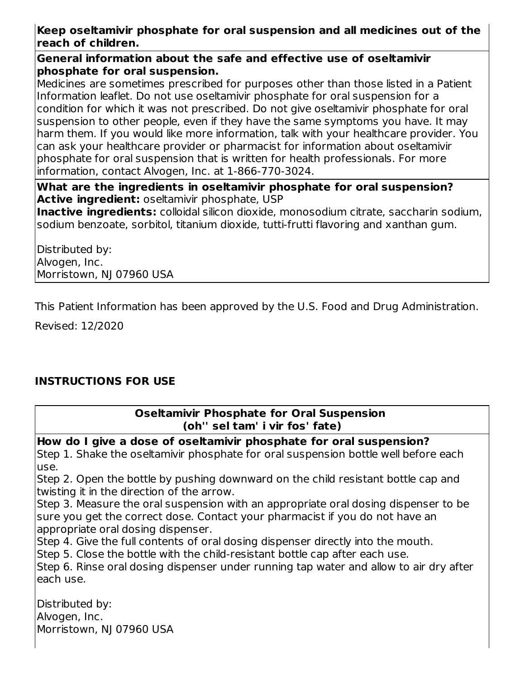# **Keep oseltamivir phosphate for oral suspension and all medicines out of the reach of children.**

#### **General information about the safe and effective use of oseltamivir phosphate for oral suspension.**

Medicines are sometimes prescribed for purposes other than those listed in a Patient Information leaflet. Do not use oseltamivir phosphate for oral suspension for a condition for which it was not prescribed. Do not give oseltamivir phosphate for oral suspension to other people, even if they have the same symptoms you have. It may harm them. If you would like more information, talk with your healthcare provider. You can ask your healthcare provider or pharmacist for information about oseltamivir phosphate for oral suspension that is written for health professionals. For more information, contact Alvogen, Inc. at 1-866-770-3024.

### **What are the ingredients in oseltamivir phosphate for oral suspension? Active ingredient:** oseltamivir phosphate, USP

**Inactive ingredients:** colloidal silicon dioxide, monosodium citrate, saccharin sodium, sodium benzoate, sorbitol, titanium dioxide, tutti-frutti flavoring and xanthan gum.

Distributed by: Alvogen, Inc. Morristown, NJ 07960 USA

This Patient Information has been approved by the U.S. Food and Drug Administration.

Revised: 12/2020

# **INSTRUCTIONS FOR USE**

**Oseltamivir Phosphate for Oral Suspension (oh'' sel tam' i vir fos' fate)**

**How do I give a dose of oseltamivir phosphate for oral suspension?** Step 1. Shake the oseltamivir phosphate for oral suspension bottle well before each use.

Step 2. Open the bottle by pushing downward on the child resistant bottle cap and twisting it in the direction of the arrow.

Step 3. Measure the oral suspension with an appropriate oral dosing dispenser to be sure you get the correct dose. Contact your pharmacist if you do not have an appropriate oral dosing dispenser.

Step 4. Give the full contents of oral dosing dispenser directly into the mouth.

Step 5. Close the bottle with the child-resistant bottle cap after each use.

Step 6. Rinse oral dosing dispenser under running tap water and allow to air dry after each use.

Distributed by: Alvogen, Inc. Morristown, NJ 07960 USA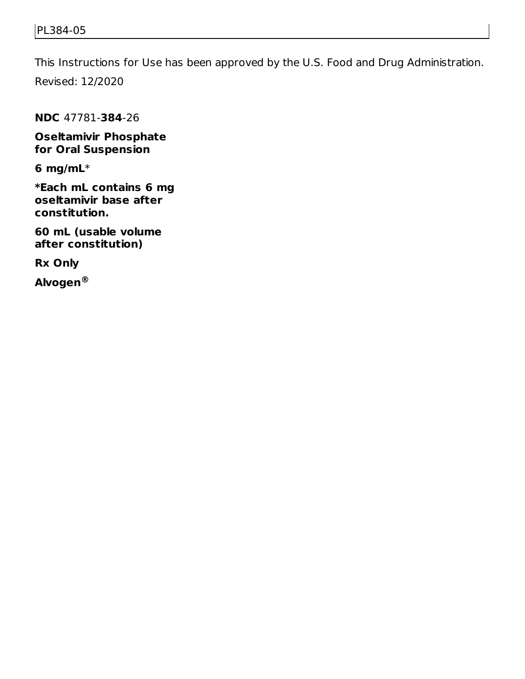This Instructions for Use has been approved by the U.S. Food and Drug Administration.

Revised: 12/2020

**NDC** 47781-**384**-26

**Oseltamivir Phosphate for Oral Suspension**

**6 mg/mL**\*

**\*Each mL contains 6 mg oseltamivir base after constitution.**

**60 mL (usable volume after constitution)**

**Rx Only**

**Alvogen®**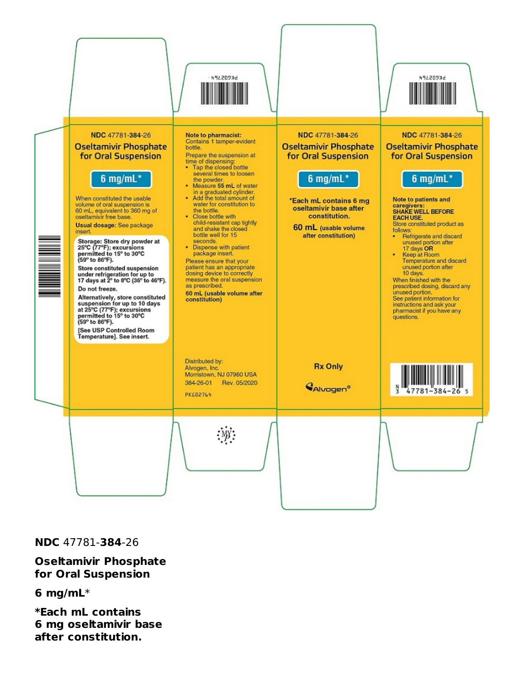

**NDC** 47781-**384**-26

**Oseltamivir Phosphate for Oral Suspension**

**6 mg/mL**\*

**\*Each mL contains 6 mg oseltamivir base after constitution.**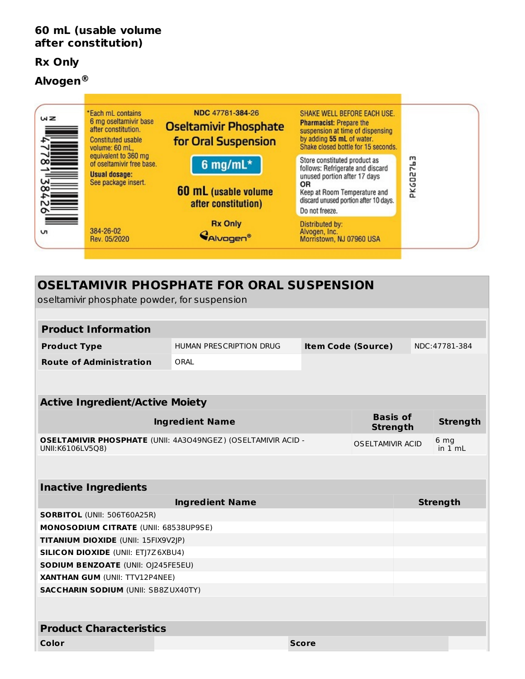#### **60 mL (usable volume after constitution)**

#### **Rx Only**

### **Alvogen ®**



# **OSELTAMIVIR PHOSPHATE FOR ORAL SUSPENSION** oseltamivir phosphate powder, for suspension **Product Information Product Type** HUMAN PRESCRIPTION DRUG **Item Code (Source)** NDC:47781-384 **Route of Administration** ORAL **Active Ingredient/Active Moiety Ingredient Name Basis of Strength Strength OSELTAMIVIR PHOSPHATE** (UNII: 4A3O49NGEZ) (OSELTAMIVIR ACID - UNII:K6106LV5Q8) OSELTAMIVIR ACID 6 mg in 1 mL **Inactive Ingredients Ingredient Name Strength SORBITOL** (UNII: 506T60A25R) **MONOSODIUM CITRATE** (UNII: 68538UP9SE) **TITANIUM DIOXIDE** (UNII: 15FIX9V2JP) **SILICON DIOXIDE** (UNII: ETJ7Z6XBU4) **SODIUM BENZOATE** (UNII: OJ245FE5EU) **XANTHAN GUM** (UNII: TTV12P4NEE) **SACCHARIN SODIUM** (UNII: SB8ZUX40TY) **Product Characteristics Color Score**